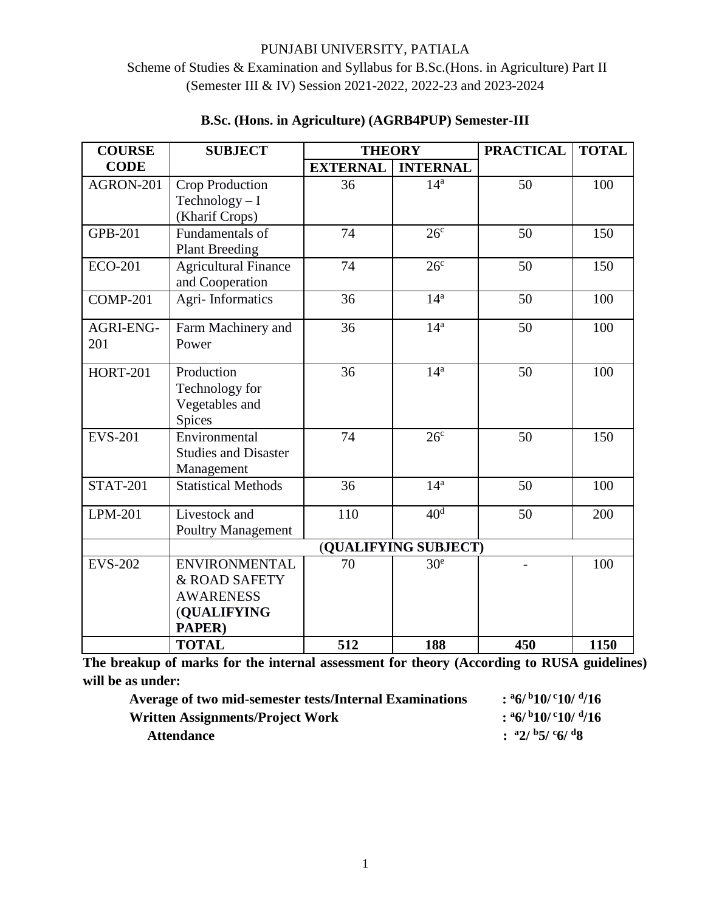# Scheme of Studies & Examination and Syllabus for B.Sc.(Hons. in Agriculture) Part II (Semester III & IV) Session 2021-2022, 2022-23 and 2023-2024

| <b>COURSE</b>   | <b>SUBJECT</b>              | <b>THEORY</b>   |                 | <b>PRACTICAL</b> | <b>TOTAL</b> |
|-----------------|-----------------------------|-----------------|-----------------|------------------|--------------|
| <b>CODE</b>     |                             | <b>EXTERNAL</b> | <b>INTERNAL</b> |                  |              |
| AGRON-201       | Crop Production             | 36              | 14 <sup>a</sup> | 50               | 100          |
|                 | $Technology-I$              |                 |                 |                  |              |
|                 | (Kharif Crops)              |                 |                 |                  |              |
| <b>GPB-201</b>  | Fundamentals of             | 74              | 26 <sup>c</sup> | 50               | 150          |
|                 | <b>Plant Breeding</b>       |                 |                 |                  |              |
| <b>ECO-201</b>  | <b>Agricultural Finance</b> | 74              | 26 <sup>c</sup> | 50               | 150          |
|                 | and Cooperation             |                 |                 |                  |              |
| <b>COMP-201</b> | Agri-Informatics            | 36              | 14 <sup>a</sup> | 50               | 100          |
| AGRI-ENG-       | Farm Machinery and          | 36              | 14 <sup>a</sup> | 50               | 100          |
| 201             | Power                       |                 |                 |                  |              |
| <b>HORT-201</b> | Production                  | 36              | 14 <sup>a</sup> | 50               | 100          |
|                 | Technology for              |                 |                 |                  |              |
|                 | Vegetables and              |                 |                 |                  |              |
|                 | Spices                      |                 |                 |                  |              |
| <b>EVS-201</b>  | Environmental               | 74              | 26 <sup>c</sup> | 50               | 150          |
|                 | <b>Studies and Disaster</b> |                 |                 |                  |              |
|                 | Management                  |                 |                 |                  |              |
| <b>STAT-201</b> | <b>Statistical Methods</b>  | 36              | 14 <sup>a</sup> | 50               | 100          |
| LPM-201         | Livestock and               | 110             | 40 <sup>d</sup> | 50               | 200          |
|                 | <b>Poultry Management</b>   |                 |                 |                  |              |
|                 | (QUALIFYING SUBJECT)        |                 |                 |                  |              |
| <b>EVS-202</b>  | <b>ENVIRONMENTAL</b>        | 70              | 30 <sup>e</sup> |                  | 100          |
|                 | & ROAD SAFETY               |                 |                 |                  |              |
|                 | <b>AWARENESS</b>            |                 |                 |                  |              |
|                 | (QUALIFYING                 |                 |                 |                  |              |
|                 | PAPER)                      |                 |                 |                  |              |
|                 | <b>TOTAL</b>                | 512             | 188             | 450              | 1150         |

# **B.Sc. (Hons. in Agriculture) (AGRB4PUP) Semester-III**

**The breakup of marks for the internal assessment for theory (According to RUSA guidelines) will be as under:**

| <b>Average of two mid-semester tests/Internal Examinations</b> | $:$ a6/b10/c10/d/16                                                    |
|----------------------------------------------------------------|------------------------------------------------------------------------|
| Written Assignments/Project Work                               | $:$ <sup>a</sup> 6/ <sup>b</sup> 10/ <sup>c</sup> 10/ <sup>d</sup> /16 |
| <b>Attendance</b>                                              | : $a2/b5/c6/d8$                                                        |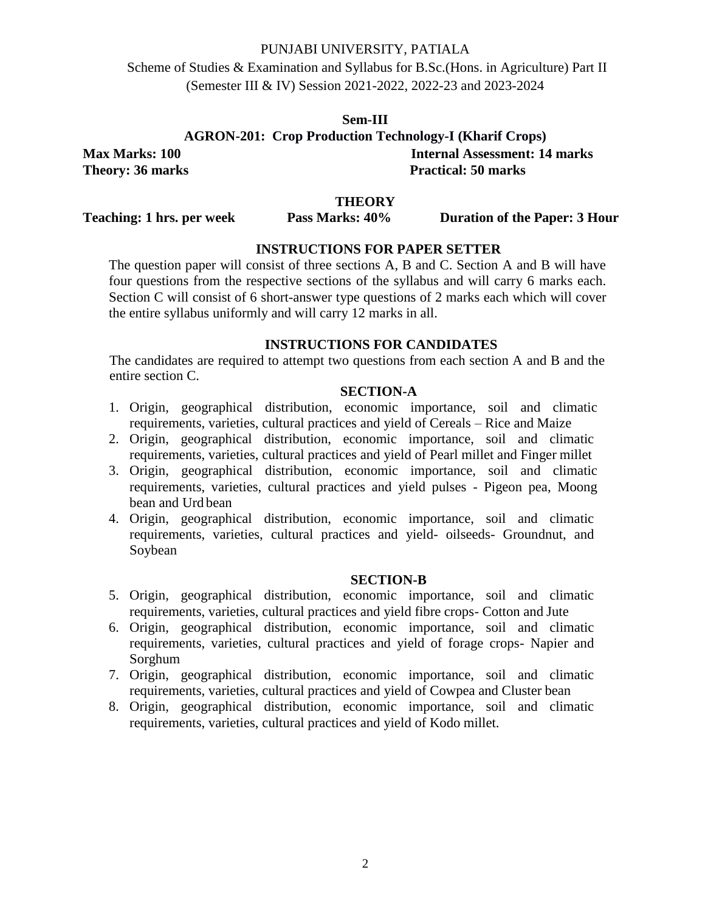Scheme of Studies & Examination and Syllabus for B.Sc.(Hons. in Agriculture) Part II (Semester III & IV) Session 2021-2022, 2022-23 and 2023-2024

> **Sem-III AGRON-201: Crop Production Technology-I (Kharif Crops)**

**Max Marks: 100 Internal Assessment: 14 marks Theory: 36 marks** Practical: 50 marks

# **THEORY**

**Teaching: 1 hrs. per week Pass Marks: 40% Duration of the Paper: 3 Hour**

# **INSTRUCTIONS FOR PAPER SETTER**

The question paper will consist of three sections A, B and C. Section A and B will have four questions from the respective sections of the syllabus and will carry 6 marks each. Section C will consist of 6 short-answer type questions of 2 marks each which will cover the entire syllabus uniformly and will carry 12 marks in all.

# **INSTRUCTIONS FOR CANDIDATES**

The candidates are required to attempt two questions from each section A and B and the entire section C.

#### **SECTION-A**

- 1. Origin, geographical distribution, economic importance, soil and climatic requirements, varieties, cultural practices and yield of Cereals – Rice and Maize
- 2. Origin, geographical distribution, economic importance, soil and climatic requirements, varieties, cultural practices and yield of Pearl millet and Finger millet
- 3. Origin, geographical distribution, economic importance, soil and climatic requirements, varieties, cultural practices and yield pulses - Pigeon pea, Moong bean and Urd bean
- 4. Origin, geographical distribution, economic importance, soil and climatic requirements, varieties, cultural practices and yield- oilseeds- Groundnut, and Soybean

#### **SECTION-B**

- 5. Origin, geographical distribution, economic importance, soil and climatic requirements, varieties, cultural practices and yield fibre crops- Cotton and Jute
- 6. Origin, geographical distribution, economic importance, soil and climatic requirements, varieties, cultural practices and yield of forage crops- Napier and Sorghum
- 7. Origin, geographical distribution, economic importance, soil and climatic requirements, varieties, cultural practices and yield of Cowpea and Cluster bean
- 8. Origin, geographical distribution, economic importance, soil and climatic requirements, varieties, cultural practices and yield of Kodo millet.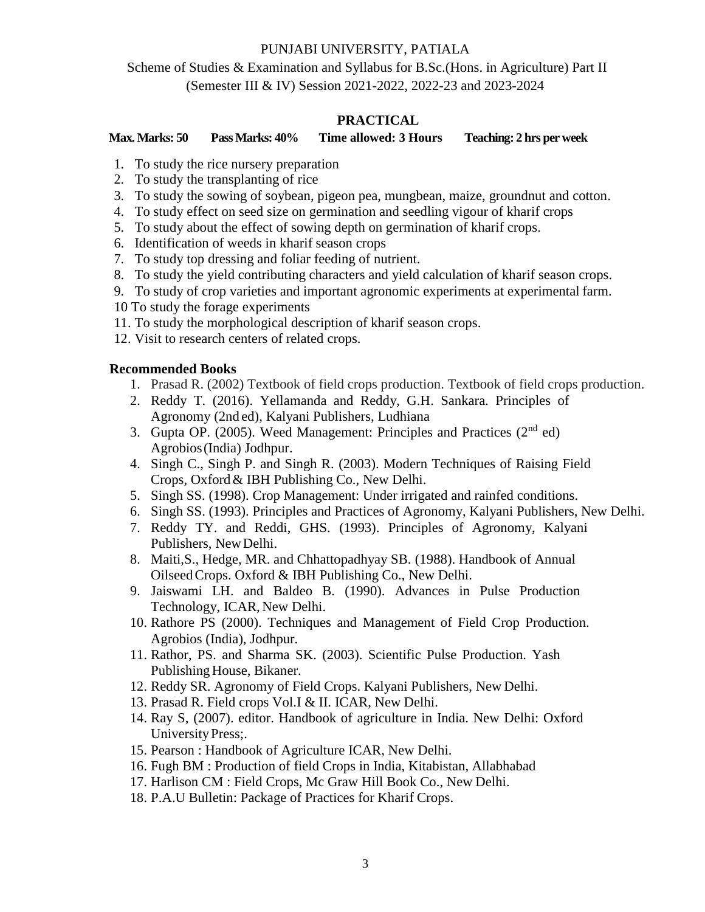# Scheme of Studies & Examination and Syllabus for B.Sc.(Hons. in Agriculture) Part II (Semester III & IV) Session 2021-2022, 2022-23 and 2023-2024

# **PRACTICAL**

**Max. Marks: 50 Pass Marks: 40% Time allowed: 3 Hours Teaching: 2 hrs per week**

- 1. To study the rice nursery preparation
- 2. To study the transplanting of rice
- 3. To study the sowing of soybean, pigeon pea, mungbean, maize, groundnut and cotton.
- 4. To study effect on seed size on germination and seedling vigour of kharif crops
- 5. To study about the effect of sowing depth on germination of kharif crops.
- 6. Identification of weeds in kharif season crops
- 7. To study top dressing and foliar feeding of nutrient.
- 8. To study the yield contributing characters and yield calculation of kharif season crops.
- 9. To study of crop varieties and important agronomic experiments at experimental farm.
- 10 To study the forage experiments
- 11. To study the morphological description of kharif season crops.
- 12. Visit to research centers of related crops.

- 1. Prasad R. (2002) Textbook of field crops production. Textbook of field crops production.
- 2. Reddy T. (2016). Yellamanda and Reddy, G.H. Sankara. Principles of Agronomy (2nd ed), Kalyani Publishers, Ludhiana
- 3. Gupta OP. (2005). Weed Management: Principles and Practices (2nd ed) Agrobios(India) Jodhpur.
- 4. Singh C., Singh P. and Singh R. (2003). Modern Techniques of Raising Field Crops, Oxford& IBH Publishing Co., New Delhi.
- 5. Singh SS. (1998). Crop Management: Under irrigated and rainfed conditions.
- 6. Singh SS. (1993). Principles and Practices of Agronomy, Kalyani Publishers, New Delhi.
- 7. Reddy TY. and Reddi, GHS. (1993). Principles of Agronomy, Kalyani Publishers, NewDelhi.
- 8. Maiti,S., Hedge, MR. and Chhattopadhyay SB. (1988). Handbook of Annual OilseedCrops. Oxford & IBH Publishing Co., New Delhi.
- 9. Jaiswami LH. and Baldeo B. (1990). Advances in Pulse Production Technology, ICAR, New Delhi.
- 10. Rathore PS (2000). Techniques and Management of Field Crop Production. Agrobios (India), Jodhpur.
- 11. Rathor, PS. and Sharma SK. (2003). Scientific Pulse Production. Yash Publishing House, Bikaner.
- 12. Reddy SR. Agronomy of Field Crops. Kalyani Publishers, New Delhi.
- 13. Prasad R. Field crops Vol.I & II. ICAR, New Delhi.
- 14. Ray S, (2007). editor. Handbook of agriculture in India. New Delhi: Oxford UniversityPress;.
- 15. Pearson : Handbook of Agriculture ICAR, New Delhi.
- 16. Fugh BM : Production of field Crops in India, Kitabistan, Allabhabad
- 17. Harlison CM : Field Crops, Mc Graw Hill Book Co., New Delhi.
- 18. P.A.U Bulletin: Package of Practices for Kharif Crops.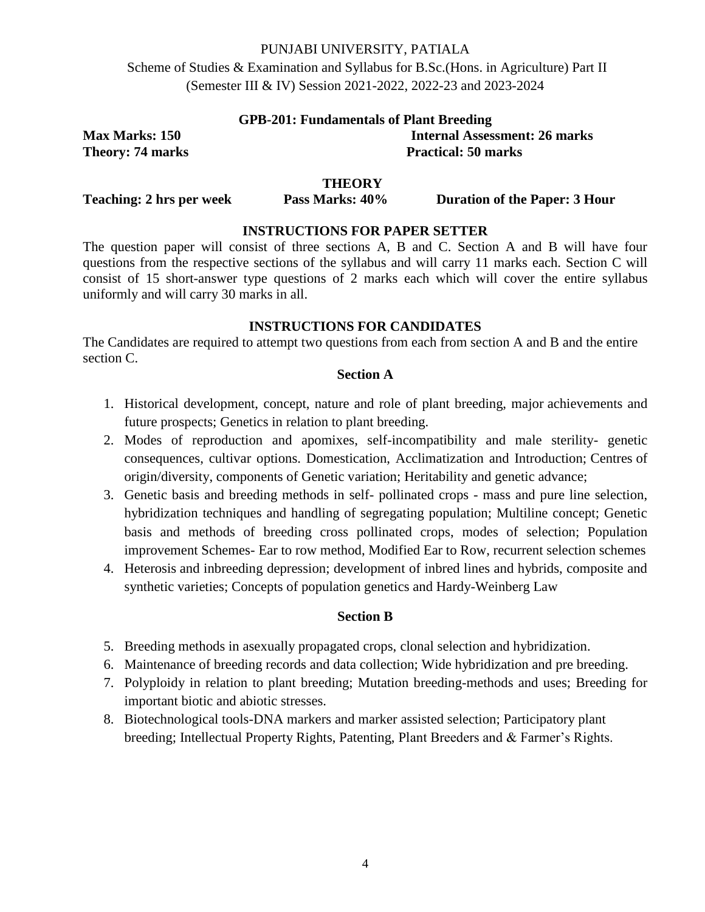Scheme of Studies & Examination and Syllabus for B.Sc.(Hons. in Agriculture) Part II (Semester III & IV) Session 2021-2022, 2022-23 and 2023-2024

| <b>GPB-201: Fundamentals of Plant Breeding</b> |                                      |  |  |
|------------------------------------------------|--------------------------------------|--|--|
| <b>Max Marks: 150</b>                          | <b>Internal Assessment: 26 marks</b> |  |  |
| Theory: 74 marks                               | <b>Practical: 50 marks</b>           |  |  |

#### **THEORY**

**Teaching: 2 hrs per week Pass Marks: 40% Duration of the Paper: 3 Hour**

### **INSTRUCTIONS FOR PAPER SETTER**

The question paper will consist of three sections A, B and C. Section A and B will have four questions from the respective sections of the syllabus and will carry 11 marks each. Section C will consist of 15 short-answer type questions of 2 marks each which will cover the entire syllabus uniformly and will carry 30 marks in all.

#### **INSTRUCTIONS FOR CANDIDATES**

The Candidates are required to attempt two questions from each from section A and B and the entire section C.

#### **Section A**

- 1. Historical development, concept, nature and role of plant breeding, major achievements and future prospects; Genetics in relation to plant breeding.
- 2. Modes of reproduction and apomixes, self-incompatibility and male sterility- genetic consequences, cultivar options. Domestication, Acclimatization and Introduction; Centres of origin/diversity, components of Genetic variation; Heritability and genetic advance;
- 3. Genetic basis and breeding methods in self- pollinated crops mass and pure line selection, hybridization techniques and handling of segregating population; Multiline concept; Genetic basis and methods of breeding cross pollinated crops, modes of selection; Population improvement Schemes- Ear to row method, Modified Ear to Row, recurrent selection schemes
- 4. Heterosis and inbreeding depression; development of inbred lines and hybrids, composite and synthetic varieties; Concepts of population genetics and Hardy-Weinberg Law

### **Section B**

- 5. Breeding methods in asexually propagated crops, clonal selection and hybridization.
- 6. Maintenance of breeding records and data collection; Wide hybridization and pre breeding.
- 7. Polyploidy in relation to plant breeding; Mutation breeding-methods and uses; Breeding for important biotic and abiotic stresses.
- 8. Biotechnological tools-DNA markers and marker assisted selection; Participatory plant breeding; Intellectual Property Rights, Patenting, Plant Breeders and & Farmer's Rights.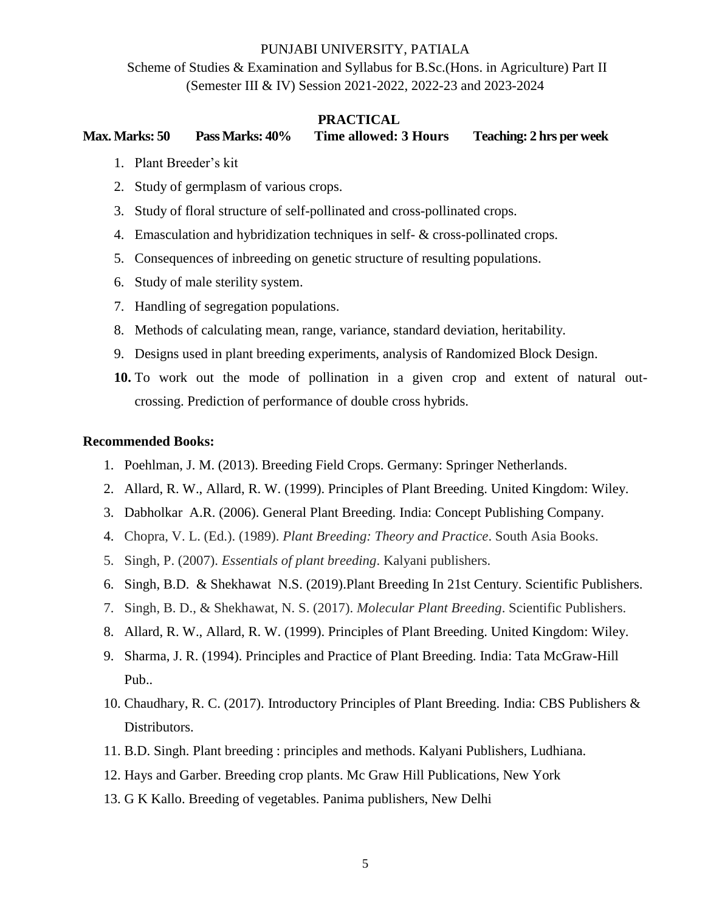Scheme of Studies & Examination and Syllabus for B.Sc.(Hons. in Agriculture) Part II (Semester III & IV) Session 2021-2022, 2022-23 and 2023-2024

### **PRACTICAL**

**Max. Marks: 50 Pass Marks: 40% Time allowed: 3 Hours Teaching: 2 hrs per week**

- 1. Plant Breeder's kit
- 2. Study of germplasm of various crops.
- 3. Study of floral structure of self-pollinated and cross-pollinated crops.
- 4. Emasculation and hybridization techniques in self- & cross-pollinated crops.
- 5. Consequences of inbreeding on genetic structure of resulting populations.
- 6. Study of male sterility system.
- 7. Handling of segregation populations.
- 8. Methods of calculating mean, range, variance, standard deviation, heritability.
- 9. Designs used in plant breeding experiments, analysis of Randomized Block Design.
- **10.** To work out the mode of pollination in a given crop and extent of natural outcrossing. Prediction of performance of double cross hybrids.

- 1. Poehlman, J. M. (2013). Breeding Field Crops. Germany: Springer Netherlands.
- 2. Allard, R. W., Allard, R. W. (1999). Principles of Plant Breeding. United Kingdom: Wiley.
- 3. Dabholkar A.R. (2006). General Plant Breeding. India: Concept Publishing Company.
- 4. Chopra, V. L. (Ed.). (1989). *Plant Breeding: Theory and Practice*. South Asia Books.
- 5. Singh, P. (2007). *Essentials of plant breeding*. Kalyani publishers.
- 6. Singh, B.D. & Shekhawat N.S. (2019).Plant Breeding In 21st Century. Scientific Publishers.
- 7. Singh, B. D., & Shekhawat, N. S. (2017). *Molecular Plant Breeding*. Scientific Publishers.
- 8. Allard, R. W., Allard, R. W. (1999). Principles of Plant Breeding. United Kingdom: Wiley.
- 9. Sharma, J. R. (1994). Principles and Practice of Plant Breeding. India: Tata McGraw-Hill Pub..
- 10. Chaudhary, R. C. (2017). Introductory Principles of Plant Breeding. India: CBS Publishers & Distributors.
- 11. B.D. Singh. Plant breeding : principles and methods. Kalyani Publishers, Ludhiana.
- 12. Hays and Garber. Breeding crop plants. Mc Graw Hill Publications, New York
- 13. G K Kallo. Breeding of vegetables. Panima publishers, New Delhi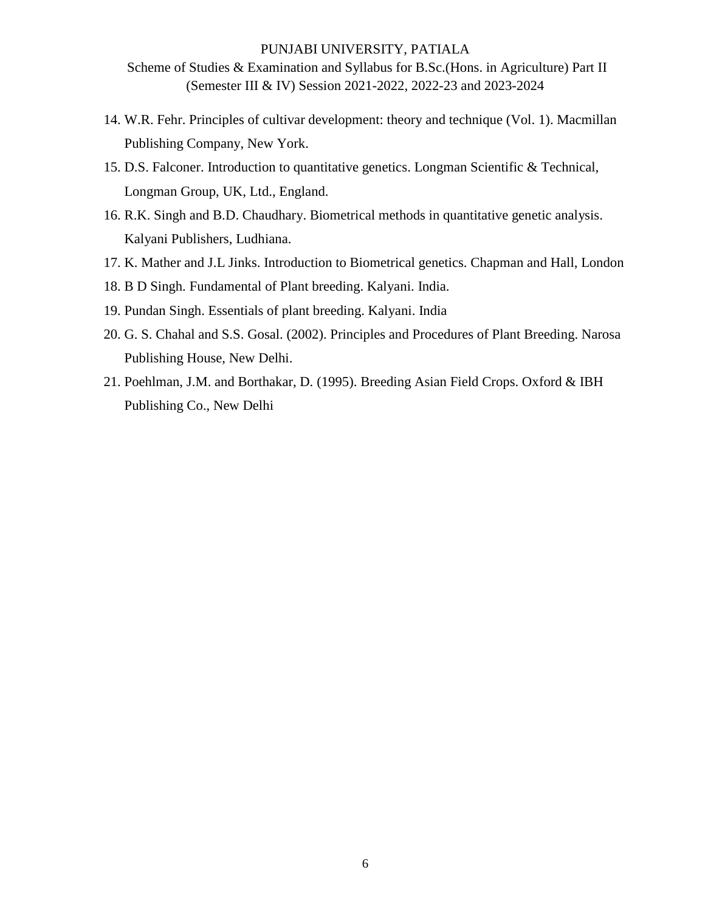Scheme of Studies & Examination and Syllabus for B.Sc.(Hons. in Agriculture) Part II (Semester III & IV) Session 2021-2022, 2022-23 and 2023-2024

- 14. W.R. Fehr. Principles of cultivar development: theory and technique (Vol. 1). Macmillan Publishing Company, New York.
- 15. D.S. Falconer. Introduction to quantitative genetics. Longman Scientific & Technical, Longman Group, UK, Ltd., England.
- 16. R.K. Singh and B.D. Chaudhary. Biometrical methods in quantitative genetic analysis. Kalyani Publishers, Ludhiana.
- 17. K. Mather and J.L Jinks. Introduction to Biometrical genetics. Chapman and Hall, London
- 18. B D Singh. Fundamental of Plant breeding. Kalyani. India.
- 19. Pundan Singh. Essentials of plant breeding. Kalyani. India
- 20. G. S. Chahal and S.S. Gosal. (2002). Principles and Procedures of Plant Breeding. Narosa Publishing House, New Delhi.
- 21. Poehlman, J.M. and Borthakar, D. (1995). Breeding Asian Field Crops. Oxford & IBH Publishing Co., New Delhi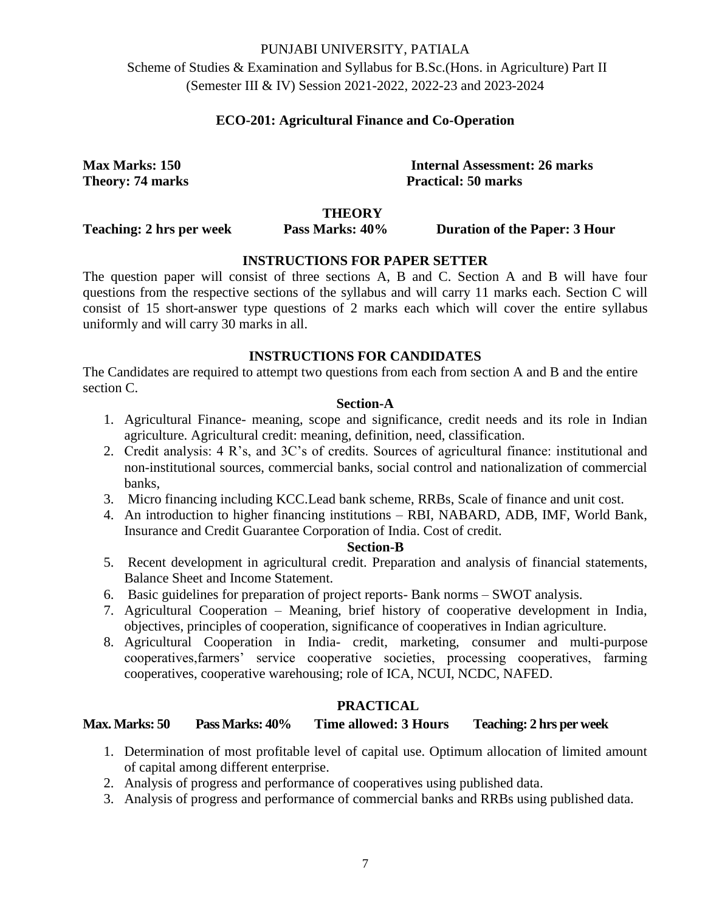Scheme of Studies & Examination and Syllabus for B.Sc.(Hons. in Agriculture) Part II (Semester III & IV) Session 2021-2022, 2022-23 and 2023-2024

# **ECO-201: Agricultural Finance and Co-Operation**

**Max Marks: 150 Internal Assessment: 26 marks Theory: 74 marks** Practical: 50 marks

#### **THEORY**

**Teaching: 2 hrs per week Pass Marks: 40% Duration of the Paper: 3 Hour**

# **INSTRUCTIONS FOR PAPER SETTER**

The question paper will consist of three sections A, B and C. Section A and B will have four questions from the respective sections of the syllabus and will carry 11 marks each. Section C will consist of 15 short-answer type questions of 2 marks each which will cover the entire syllabus uniformly and will carry 30 marks in all.

# **INSTRUCTIONS FOR CANDIDATES**

The Candidates are required to attempt two questions from each from section A and B and the entire section C.

#### **Section-A**

- 1. Agricultural Finance- meaning, scope and significance, credit needs and its role in Indian agriculture. Agricultural credit: meaning, definition, need, classification.
- 2. Credit analysis: 4 R's, and 3C's of credits. Sources of agricultural finance: institutional and non-institutional sources, commercial banks, social control and nationalization of commercial banks,
- 3. Micro financing including KCC.Lead bank scheme, RRBs, Scale of finance and unit cost.
- 4. An introduction to higher financing institutions RBI, NABARD, ADB, IMF, World Bank, Insurance and Credit Guarantee Corporation of India. Cost of credit.

#### **Section-B**

- 5. Recent development in agricultural credit. Preparation and analysis of financial statements, Balance Sheet and Income Statement.
- 6. Basic guidelines for preparation of project reports- Bank norms SWOT analysis.
- 7. Agricultural Cooperation Meaning, brief history of cooperative development in India, objectives, principles of cooperation, significance of cooperatives in Indian agriculture.
- 8. Agricultural Cooperation in India- credit, marketing, consumer and multi-purpose cooperatives,farmers' service cooperative societies, processing cooperatives, farming cooperatives, cooperative warehousing; role of ICA, NCUI, NCDC, NAFED.

# **PRACTICAL**

**Max. Marks: 50 Pass Marks: 40% Time allowed: 3 Hours Teaching: 2 hrs per week**

- 1. Determination of most profitable level of capital use. Optimum allocation of limited amount of capital among different enterprise.
- 2. Analysis of progress and performance of cooperatives using published data.
- 3. Analysis of progress and performance of commercial banks and RRBs using published data.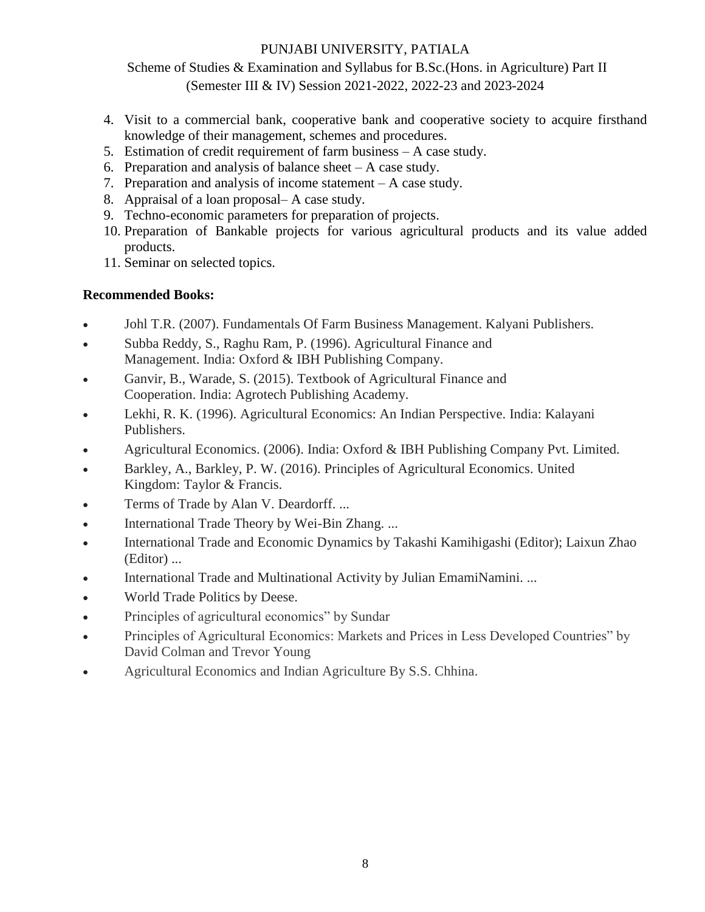Scheme of Studies & Examination and Syllabus for B.Sc.(Hons. in Agriculture) Part II (Semester III & IV) Session 2021-2022, 2022-23 and 2023-2024

- 4. Visit to a commercial bank, cooperative bank and cooperative society to acquire firsthand knowledge of their management, schemes and procedures.
- 5. Estimation of credit requirement of farm business A case study.
- 6. Preparation and analysis of balance sheet  $-A$  case study.
- 7. Preparation and analysis of income statement A case study.
- 8. Appraisal of a loan proposal– A case study.
- 9. Techno-economic parameters for preparation of projects.
- 10. Preparation of Bankable projects for various agricultural products and its value added products.
- 11. Seminar on selected topics.

- Johl T.R. (2007). Fundamentals Of Farm Business Management. Kalyani Publishers.
- Subba Reddy, S., Raghu Ram, P. (1996). Agricultural Finance and Management. India: Oxford & IBH Publishing Company.
- Ganvir, B., Warade, S. (2015). Textbook of Agricultural Finance and Cooperation. India: Agrotech Publishing Academy.
- Lekhi, R. K. (1996). Agricultural Economics: An Indian Perspective. India: Kalayani Publishers.
- Agricultural Economics. (2006). India: Oxford & IBH Publishing Company Pvt. Limited.
- Barkley, A., Barkley, P. W. (2016). Principles of Agricultural Economics. United Kingdom: Taylor & Francis.
- Terms of Trade by Alan V. Deardorff. ...
- International Trade Theory by Wei-Bin Zhang...
- International Trade and Economic Dynamics by Takashi Kamihigashi (Editor); Laixun Zhao (Editor) ...
- International Trade and Multinational Activity by Julian EmamiNamini. ...
- World Trade Politics by Deese.
- Principles of agricultural economics" by Sundar
- Principles of Agricultural Economics: Markets and Prices in Less Developed Countries" by David Colman and Trevor Young
- Agricultural Economics and Indian Agriculture By S.S. Chhina.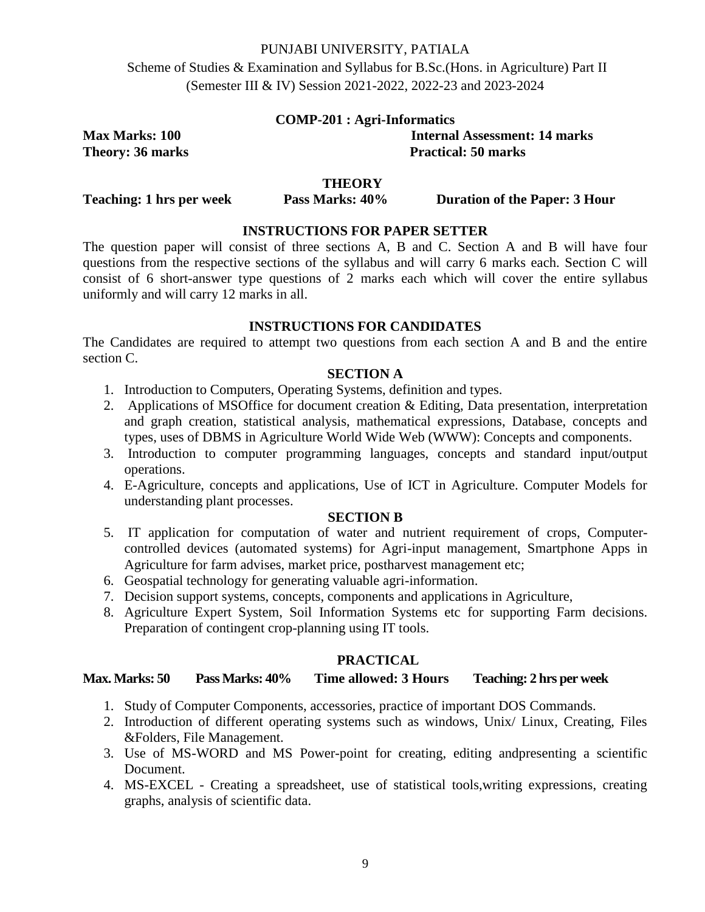Scheme of Studies & Examination and Syllabus for B.Sc.(Hons. in Agriculture) Part II (Semester III & IV) Session 2021-2022, 2022-23 and 2023-2024

| <b>COMP-201 : Agri-Informatics</b> |  |  |
|------------------------------------|--|--|
|------------------------------------|--|--|

**Max Marks: 100 Internal Assessment: 14 marks Theory: 36 marks** Practical: 50 marks

# **THEORY**

**Teaching: 1** hrs per week Pass Marks: 40% Duration of the Paper: 3 Hour

# **INSTRUCTIONS FOR PAPER SETTER**

The question paper will consist of three sections A, B and C. Section A and B will have four questions from the respective sections of the syllabus and will carry 6 marks each. Section C will consist of 6 short-answer type questions of 2 marks each which will cover the entire syllabus uniformly and will carry 12 marks in all.

#### **INSTRUCTIONS FOR CANDIDATES**

The Candidates are required to attempt two questions from each section A and B and the entire section C.

### **SECTION A**

- 1. Introduction to Computers, Operating Systems, definition and types.
- 2. Applications of MSOffice for document creation & Editing, Data presentation, interpretation and graph creation, statistical analysis, mathematical expressions, Database, concepts and types, uses of DBMS in Agriculture World Wide Web (WWW): Concepts and components.
- 3. Introduction to computer programming languages, concepts and standard input/output operations.
- 4. E-Agriculture, concepts and applications, Use of ICT in Agriculture. Computer Models for understanding plant processes.

#### **SECTION B**

- 5. IT application for computation of water and nutrient requirement of crops, Computercontrolled devices (automated systems) for Agri-input management, Smartphone Apps in Agriculture for farm advises, market price, postharvest management etc;
- 6. Geospatial technology for generating valuable agri-information.
- 7. Decision support systems, concepts, components and applications in Agriculture,
- 8. Agriculture Expert System, Soil Information Systems etc for supporting Farm decisions. Preparation of contingent crop-planning using IT tools.

# **PRACTICAL**

### **Max. Marks: 50 Pass Marks: 40% Time allowed: 3 Hours Teaching: 2 hrs per week**

- 1. Study of Computer Components, accessories, practice of important DOS Commands.
- 2. Introduction of different operating systems such as windows, Unix/ Linux, Creating, Files &Folders, File Management.
- 3. Use of MS-WORD and MS Power-point for creating, editing andpresenting a scientific Document.
- 4. MS-EXCEL Creating a spreadsheet, use of statistical tools,writing expressions, creating graphs, analysis of scientific data.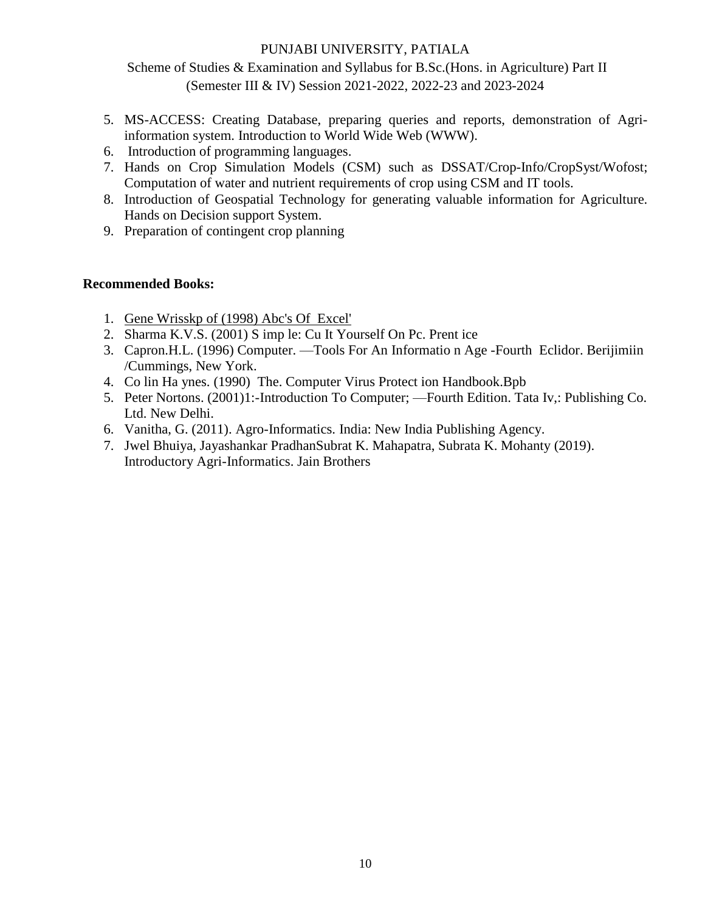Scheme of Studies & Examination and Syllabus for B.Sc.(Hons. in Agriculture) Part II (Semester III & IV) Session 2021-2022, 2022-23 and 2023-2024

- 5. MS-ACCESS: Creating Database, preparing queries and reports, demonstration of Agriinformation system. Introduction to World Wide Web (WWW).
- 6. Introduction of programming languages.
- 7. Hands on Crop Simulation Models (CSM) such as DSSAT/Crop-Info/CropSyst/Wofost; Computation of water and nutrient requirements of crop using CSM and IT tools.
- 8. Introduction of Geospatial Technology for generating valuable information for Agriculture. Hands on Decision support System.
- 9. Preparation of contingent crop planning

- 1. Gene Wrisskp of (1998) Abc's Of Excel'
- 2. Sharma K.V.S. (2001) S imp le: Cu It Yourself On Pc. Prent ice
- 3. Capron.H.L. (1996) Computer. —Tools For An Informatio n Age -Fourth Eclidor. Berijimiin /Cummings, New York.
- 4. Co lin Ha ynes. (1990) The. Computer Virus Protect ion Handbook.Bpb
- 5. Peter Nortons. (2001)1:-Introduction To Computer; —Fourth Edition. Tata Iv,: Publishing Co. Ltd. New Delhi.
- 6. Vanitha, G. (2011). Agro-Informatics. India: New India Publishing Agency.
- 7. Jwel Bhuiya, Jayashankar PradhanSubrat K. Mahapatra, Subrata K. Mohanty (2019). Introductory Agri-Informatics. Jain Brothers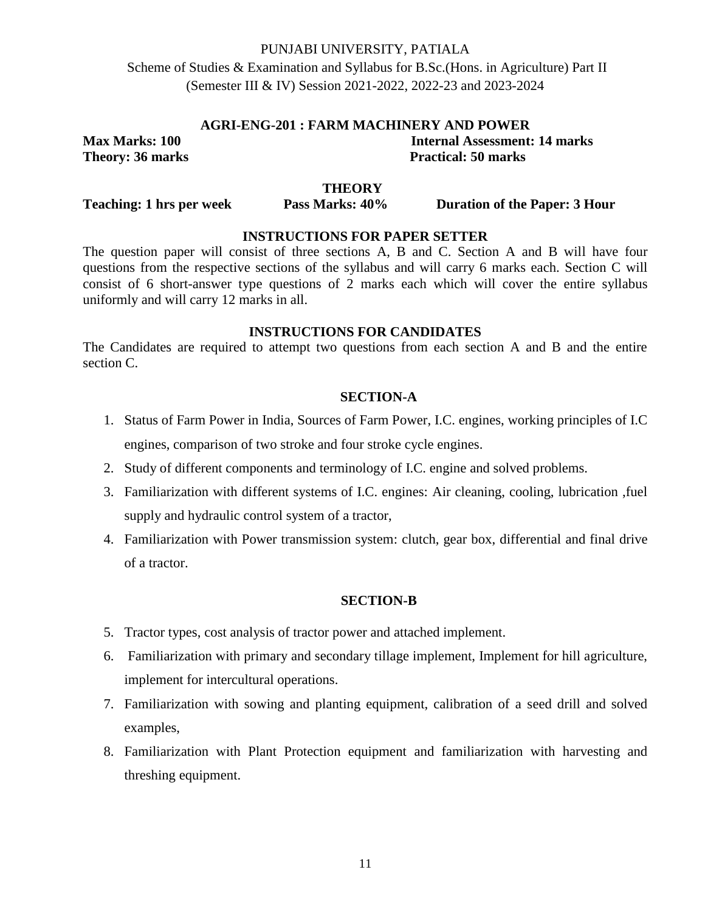Scheme of Studies & Examination and Syllabus for B.Sc.(Hons. in Agriculture) Part II (Semester III & IV) Session 2021-2022, 2022-23 and 2023-2024

#### **AGRI-ENG-201 : FARM MACHINERY AND POWER**

**Max Marks: 100 Internal Assessment: 14 marks Theory: 36 marks** Practical: 50 marks

### **THEORY**

**Teaching: 1** hrs per week Pass Marks:  $40\%$  Duration of the Paper: 3 Hour

### **INSTRUCTIONS FOR PAPER SETTER**

The question paper will consist of three sections A, B and C. Section A and B will have four questions from the respective sections of the syllabus and will carry 6 marks each. Section C will consist of 6 short-answer type questions of 2 marks each which will cover the entire syllabus uniformly and will carry 12 marks in all.

### **INSTRUCTIONS FOR CANDIDATES**

The Candidates are required to attempt two questions from each section A and B and the entire section C.

#### **SECTION-A**

- 1. Status of Farm Power in India, Sources of Farm Power, I.C. engines, working principles of I.C engines, comparison of two stroke and four stroke cycle engines.
- 2. Study of different components and terminology of I.C. engine and solved problems.
- 3. Familiarization with different systems of I.C. engines: Air cleaning, cooling, lubrication ,fuel supply and hydraulic control system of a tractor,
- 4. Familiarization with Power transmission system: clutch, gear box, differential and final drive of a tractor.

#### **SECTION-B**

- 5. Tractor types, cost analysis of tractor power and attached implement.
- 6. Familiarization with primary and secondary tillage implement, Implement for hill agriculture, implement for intercultural operations.
- 7. Familiarization with sowing and planting equipment, calibration of a seed drill and solved examples,
- 8. Familiarization with Plant Protection equipment and familiarization with harvesting and threshing equipment.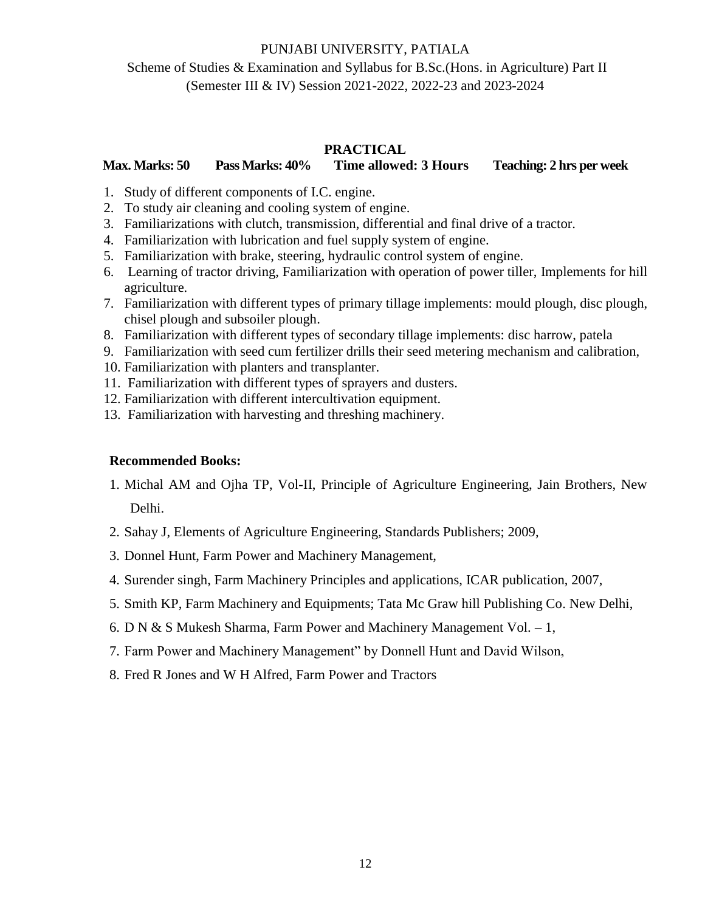# Scheme of Studies & Examination and Syllabus for B.Sc.(Hons. in Agriculture) Part II (Semester III & IV) Session 2021-2022, 2022-23 and 2023-2024

### **PRACTICAL**

# **Max. Marks: 50 Pass Marks: 40% Time allowed: 3 Hours Teaching: 2 hrs per week**

- 1. Study of different components of I.C. engine.
- 2. To study air cleaning and cooling system of engine.
- 3. Familiarizations with clutch, transmission, differential and final drive of a tractor.
- 4. Familiarization with lubrication and fuel supply system of engine.
- 5. Familiarization with brake, steering, hydraulic control system of engine.
- 6. Learning of tractor driving, Familiarization with operation of power tiller, Implements for hill agriculture.
- 7. Familiarization with different types of primary tillage implements: mould plough, disc plough, chisel plough and subsoiler plough.
- 8. Familiarization with different types of secondary tillage implements: disc harrow, patela
- 9. Familiarization with seed cum fertilizer drills their seed metering mechanism and calibration,
- 10. Familiarization with planters and transplanter.
- 11. Familiarization with different types of sprayers and dusters.
- 12. Familiarization with different intercultivation equipment.
- 13. Familiarization with harvesting and threshing machinery.

- 1. Michal AM and Ojha TP, Vol-II, Principle of Agriculture Engineering, Jain Brothers, New Delhi.
- 2. Sahay J, Elements of Agriculture Engineering, Standards Publishers; 2009,
- 3. Donnel Hunt, Farm Power and Machinery Management,
- 4. Surender singh, Farm Machinery Principles and applications, ICAR publication, 2007,
- 5. Smith KP, Farm Machinery and Equipments; Tata Mc Graw hill Publishing Co. New Delhi,
- 6. D N & S Mukesh Sharma, Farm Power and Machinery Management Vol. 1,
- 7. Farm Power and Machinery Management" by Donnell Hunt and David Wilson,
- 8. Fred R Jones and W H Alfred, Farm Power and Tractors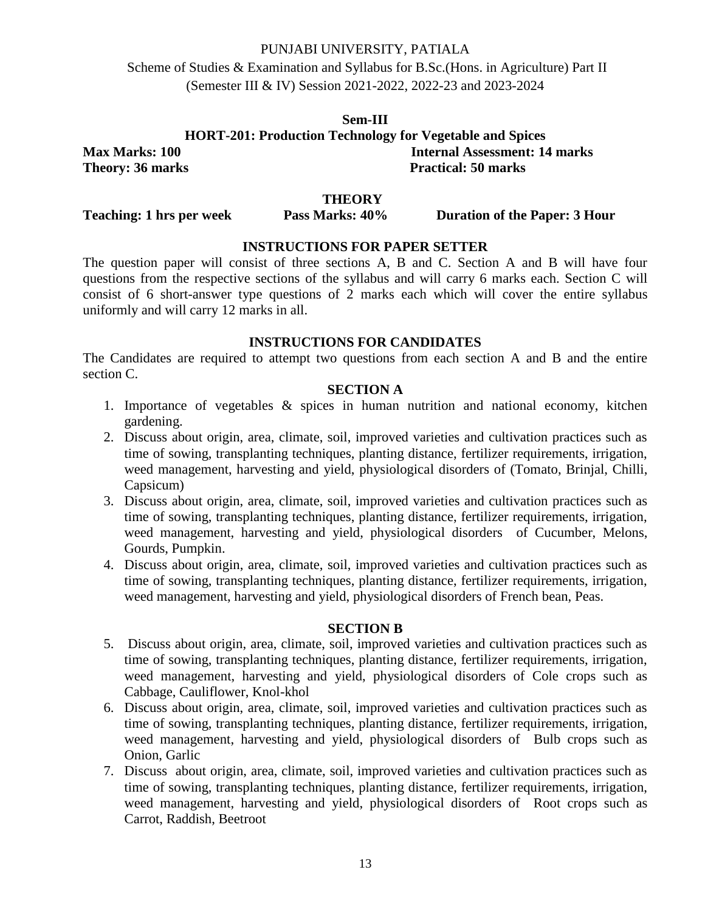Scheme of Studies & Examination and Syllabus for B.Sc.(Hons. in Agriculture) Part II (Semester III & IV) Session 2021-2022, 2022-23 and 2023-2024

**Sem-III HORT-201: Production Technology for Vegetable and Spices Max Marks: 100** Internal Assessment: 14 marks<br> **Theory: 36 marks**<br> **Practical: 50 marks Theory: 36 marks** 

#### **THEORY**

**Teaching: 1 hrs per week Pass Marks: 40% Duration of the Paper: 3 Hour**

# **INSTRUCTIONS FOR PAPER SETTER**

The question paper will consist of three sections A, B and C. Section A and B will have four questions from the respective sections of the syllabus and will carry 6 marks each. Section C will consist of 6 short-answer type questions of 2 marks each which will cover the entire syllabus uniformly and will carry 12 marks in all.

#### **INSTRUCTIONS FOR CANDIDATES**

The Candidates are required to attempt two questions from each section A and B and the entire section C.

## **SECTION A**

- 1. Importance of vegetables & spices in human nutrition and national economy, kitchen gardening.
- 2. Discuss about origin, area, climate, soil, improved varieties and cultivation practices such as time of sowing, transplanting techniques, planting distance, fertilizer requirements, irrigation, weed management, harvesting and yield, physiological disorders of (Tomato, Brinjal, Chilli, Capsicum)
- 3. Discuss about origin, area, climate, soil, improved varieties and cultivation practices such as time of sowing, transplanting techniques, planting distance, fertilizer requirements, irrigation, weed management, harvesting and yield, physiological disorders of Cucumber, Melons, Gourds, Pumpkin.
- 4. Discuss about origin, area, climate, soil, improved varieties and cultivation practices such as time of sowing, transplanting techniques, planting distance, fertilizer requirements, irrigation, weed management, harvesting and yield, physiological disorders of French bean, Peas.

### **SECTION B**

- 5. Discuss about origin, area, climate, soil, improved varieties and cultivation practices such as time of sowing, transplanting techniques, planting distance, fertilizer requirements, irrigation, weed management, harvesting and yield, physiological disorders of Cole crops such as Cabbage, Cauliflower, Knol-khol
- 6. Discuss about origin, area, climate, soil, improved varieties and cultivation practices such as time of sowing, transplanting techniques, planting distance, fertilizer requirements, irrigation, weed management, harvesting and yield, physiological disorders of Bulb crops such as Onion, Garlic
- 7. Discuss about origin, area, climate, soil, improved varieties and cultivation practices such as time of sowing, transplanting techniques, planting distance, fertilizer requirements, irrigation, weed management, harvesting and yield, physiological disorders of Root crops such as Carrot, Raddish, Beetroot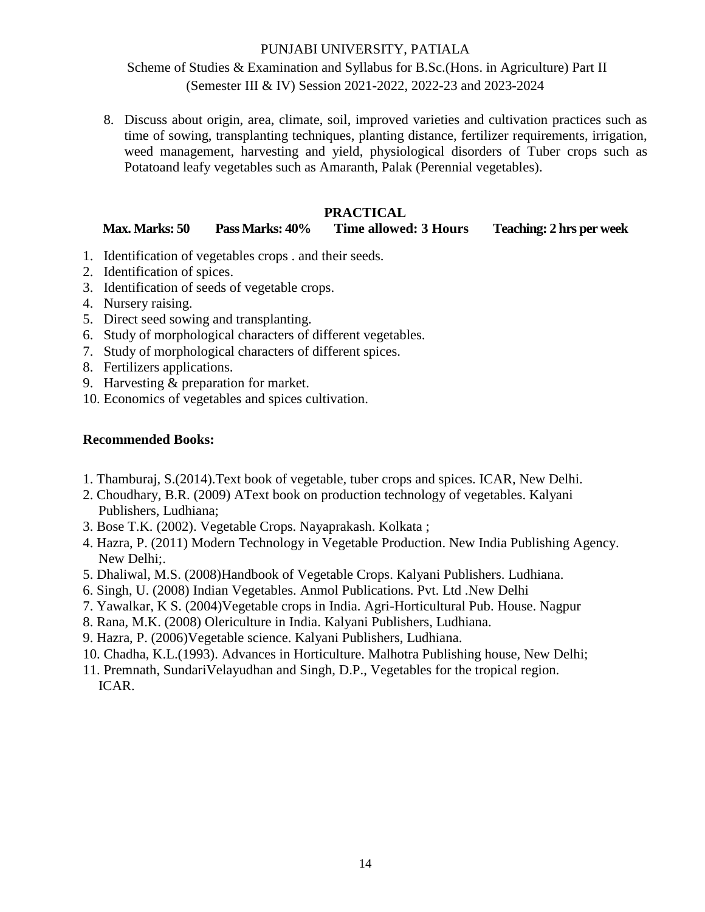Scheme of Studies & Examination and Syllabus for B.Sc.(Hons. in Agriculture) Part II (Semester III & IV) Session 2021-2022, 2022-23 and 2023-2024

8. Discuss about origin, area, climate, soil, improved varieties and cultivation practices such as time of sowing, transplanting techniques, planting distance, fertilizer requirements, irrigation, weed management, harvesting and yield, physiological disorders of Tuber crops such as Potatoand leafy vegetables such as Amaranth, Palak (Perennial vegetables).

# **PRACTICAL**

**Max. Marks: 50 Pass Marks: 40% Time allowed: 3 Hours Teaching: 2 hrs per week**

- 1. Identification of vegetables crops . and their seeds.
- 2. Identification of spices.
- 3. Identification of seeds of vegetable crops.
- 4. Nursery raising.
- 5. Direct seed sowing and transplanting.
- 6. Study of morphological characters of different vegetables.
- 7. Study of morphological characters of different spices.
- 8. Fertilizers applications.
- 9. Harvesting & preparation for market.
- 10. Economics of vegetables and spices cultivation.

- 1. Thamburaj, S.(2014).Text book of vegetable, tuber crops and spices. ICAR, New Delhi.
- 2. Choudhary, B.R. (2009) AText book on production technology of vegetables. Kalyani Publishers, Ludhiana;
- 3. Bose T.K. (2002). Vegetable Crops. Nayaprakash. Kolkata ;
- 4. Hazra, P. (2011) Modern Technology in Vegetable Production. New India Publishing Agency. New Delhi;.
- 5. Dhaliwal, M.S. (2008)Handbook of Vegetable Crops. Kalyani Publishers. Ludhiana.
- 6. Singh, U. (2008) Indian Vegetables. Anmol Publications. Pvt. Ltd .New Delhi
- 7. Yawalkar, K S. (2004)Vegetable crops in India. Agri-Horticultural Pub. House. Nagpur
- 8. Rana, M.K. (2008) Olericulture in India. Kalyani Publishers, Ludhiana.
- 9. Hazra, P. (2006)Vegetable science. Kalyani Publishers, Ludhiana.
- 10. Chadha, K.L.(1993). Advances in Horticulture. Malhotra Publishing house, New Delhi;
- 11. Premnath, SundariVelayudhan and Singh, D.P., Vegetables for the tropical region. ICAR.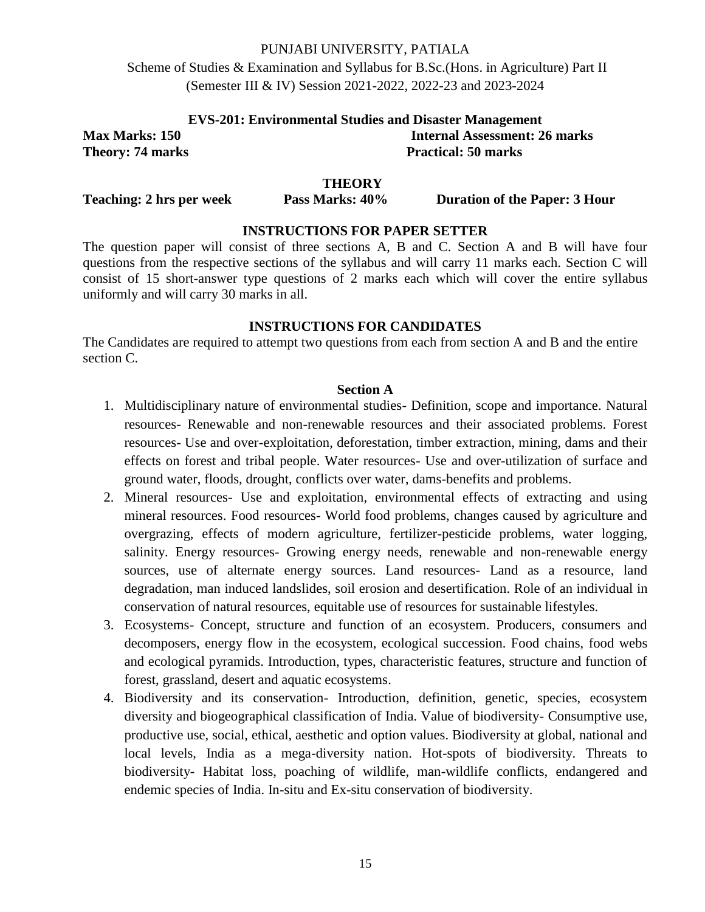Scheme of Studies & Examination and Syllabus for B.Sc.(Hons. in Agriculture) Part II (Semester III & IV) Session 2021-2022, 2022-23 and 2023-2024

| <b>EVS-201: Environmental Studies and Disaster Management</b> |                               |  |
|---------------------------------------------------------------|-------------------------------|--|
| <b>Max Marks: 150</b>                                         | Internal Assessment: 26 marks |  |
| <b>Theory: 74 marks</b>                                       | <b>Practical: 50 marks</b>    |  |

#### **THEORY**

**Teaching: 2 hrs per week Pass Marks: 40% Duration of the Paper: 3 Hour**

### **INSTRUCTIONS FOR PAPER SETTER**

The question paper will consist of three sections A, B and C. Section A and B will have four questions from the respective sections of the syllabus and will carry 11 marks each. Section C will consist of 15 short-answer type questions of 2 marks each which will cover the entire syllabus uniformly and will carry 30 marks in all.

### **INSTRUCTIONS FOR CANDIDATES**

The Candidates are required to attempt two questions from each from section A and B and the entire section C.

#### **Section A**

- 1. Multidisciplinary nature of environmental studies- Definition, scope and importance. Natural resources- Renewable and non-renewable resources and their associated problems. Forest resources- Use and over-exploitation, deforestation, timber extraction, mining, dams and their effects on forest and tribal people. Water resources- Use and over-utilization of surface and ground water, floods, drought, conflicts over water, dams-benefits and problems.
- 2. Mineral resources- Use and exploitation, environmental effects of extracting and using mineral resources. Food resources- World food problems, changes caused by agriculture and overgrazing, effects of modern agriculture, fertilizer-pesticide problems, water logging, salinity. Energy resources- Growing energy needs, renewable and non-renewable energy sources, use of alternate energy sources. Land resources- Land as a resource, land degradation, man induced landslides, soil erosion and desertification. Role of an individual in conservation of natural resources, equitable use of resources for sustainable lifestyles.
- 3. Ecosystems- Concept, structure and function of an ecosystem. Producers, consumers and decomposers, energy flow in the ecosystem, ecological succession. Food chains, food webs and ecological pyramids. Introduction, types, characteristic features, structure and function of forest, grassland, desert and aquatic ecosystems.
- 4. Biodiversity and its conservation- Introduction, definition, genetic, species, ecosystem diversity and biogeographical classification of India. Value of biodiversity- Consumptive use, productive use, social, ethical, aesthetic and option values. Biodiversity at global, national and local levels, India as a mega-diversity nation. Hot-spots of biodiversity. Threats to biodiversity- Habitat loss, poaching of wildlife, man-wildlife conflicts, endangered and endemic species of India. In-situ and Ex-situ conservation of biodiversity.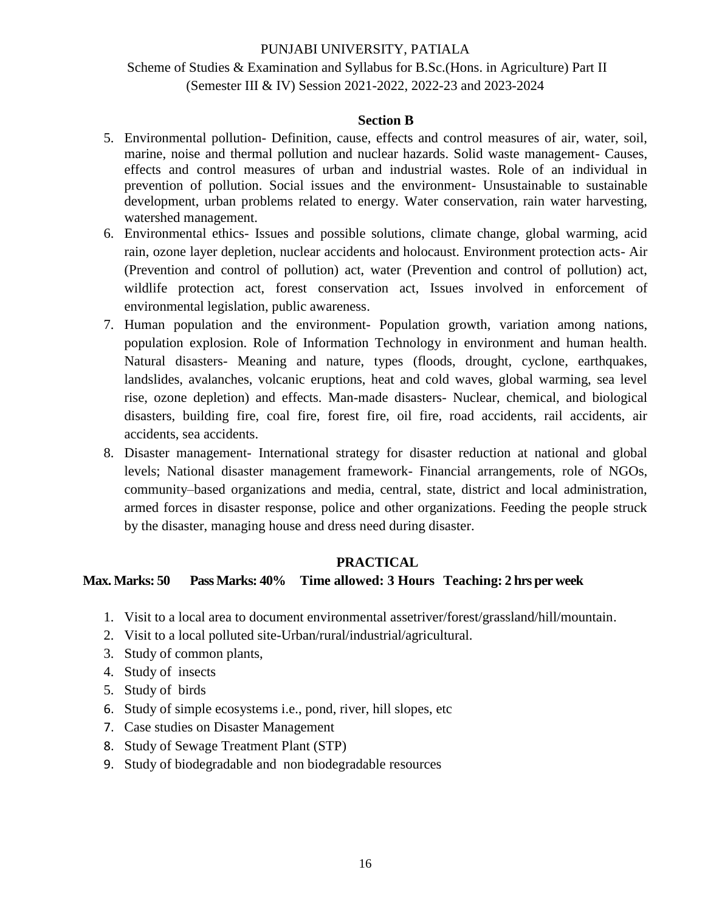# Scheme of Studies & Examination and Syllabus for B.Sc.(Hons. in Agriculture) Part II (Semester III & IV) Session 2021-2022, 2022-23 and 2023-2024

# **Section B**

- 5. Environmental pollution- Definition, cause, effects and control measures of air, water, soil, marine, noise and thermal pollution and nuclear hazards. Solid waste management- Causes, effects and control measures of urban and industrial wastes. Role of an individual in prevention of pollution. Social issues and the environment- Unsustainable to sustainable development, urban problems related to energy. Water conservation, rain water harvesting, watershed management.
- 6. Environmental ethics- Issues and possible solutions, climate change, global warming, acid rain, ozone layer depletion, nuclear accidents and holocaust. Environment protection acts- Air (Prevention and control of pollution) act, water (Prevention and control of pollution) act, wildlife protection act, forest conservation act, Issues involved in enforcement of environmental legislation, public awareness.
- 7. Human population and the environment- Population growth, variation among nations, population explosion. Role of Information Technology in environment and human health. Natural disasters- Meaning and nature, types (floods, drought, cyclone, earthquakes, landslides, avalanches, volcanic eruptions, heat and cold waves, global warming, sea level rise, ozone depletion) and effects. Man-made disasters- Nuclear, chemical, and biological disasters, building fire, coal fire, forest fire, oil fire, road accidents, rail accidents, air accidents, sea accidents.
- 8. Disaster management- International strategy for disaster reduction at national and global levels; National disaster management framework- Financial arrangements, role of NGOs, community–based organizations and media, central, state, district and local administration, armed forces in disaster response, police and other organizations. Feeding the people struck by the disaster, managing house and dress need during disaster.

#### **PRACTICAL**

# **Max. Marks: 50 Pass Marks: 40% Time allowed: 3 Hours Teaching: 2 hrs per week**

- 1. Visit to a local area to document environmental assetriver/forest/grassland/hill/mountain.
- 2. Visit to a local polluted site-Urban/rural/industrial/agricultural.
- 3. Study of common plants,
- 4. Study of insects
- 5. Study of birds
- 6. Study of simple ecosystems i.e., pond, river, hill slopes, etc
- 7. Case studies on Disaster Management
- 8. Study of Sewage Treatment Plant (STP)
- 9. Study of biodegradable and non biodegradable resources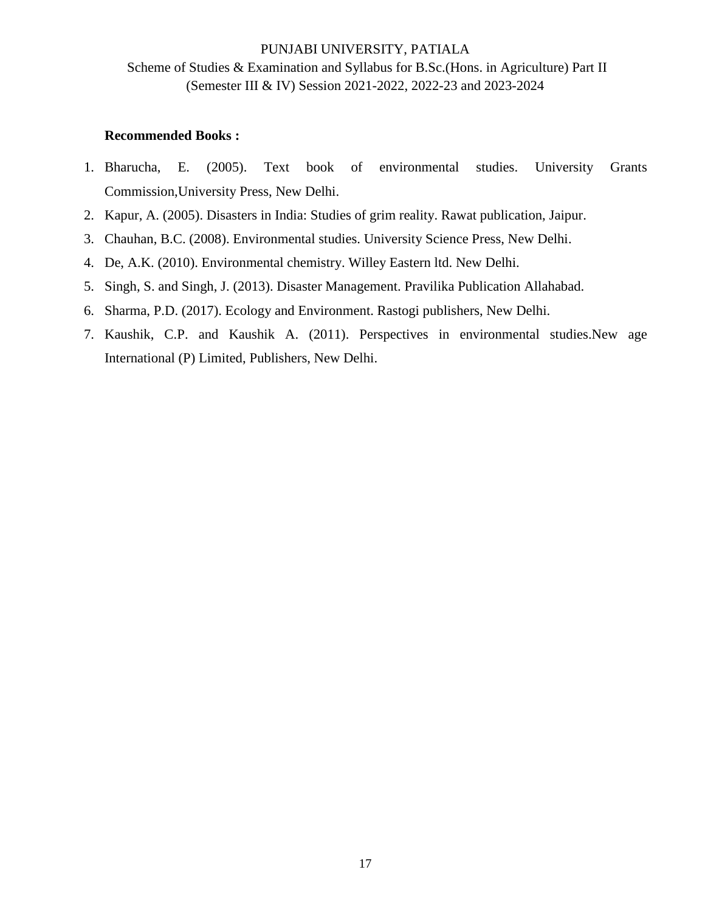# PUNJABI UNIVERSITY, PATIALA Scheme of Studies & Examination and Syllabus for B.Sc.(Hons. in Agriculture) Part II (Semester III & IV) Session 2021-2022, 2022-23 and 2023-2024

- 1. Bharucha, E. (2005). Text book of environmental studies. University Grants Commission,University Press, New Delhi.
- 2. Kapur, A. (2005). Disasters in India: Studies of grim reality. Rawat publication, Jaipur.
- 3. Chauhan, B.C. (2008). Environmental studies. University Science Press, New Delhi.
- 4. De, A.K. (2010). Environmental chemistry. Willey Eastern ltd. New Delhi.
- 5. Singh, S. and Singh, J. (2013). Disaster Management. Pravilika Publication Allahabad.
- 6. Sharma, P.D. (2017). Ecology and Environment. Rastogi publishers, New Delhi.
- 7. Kaushik, C.P. and Kaushik A. (2011). Perspectives in environmental studies.New age International (P) Limited, Publishers, New Delhi.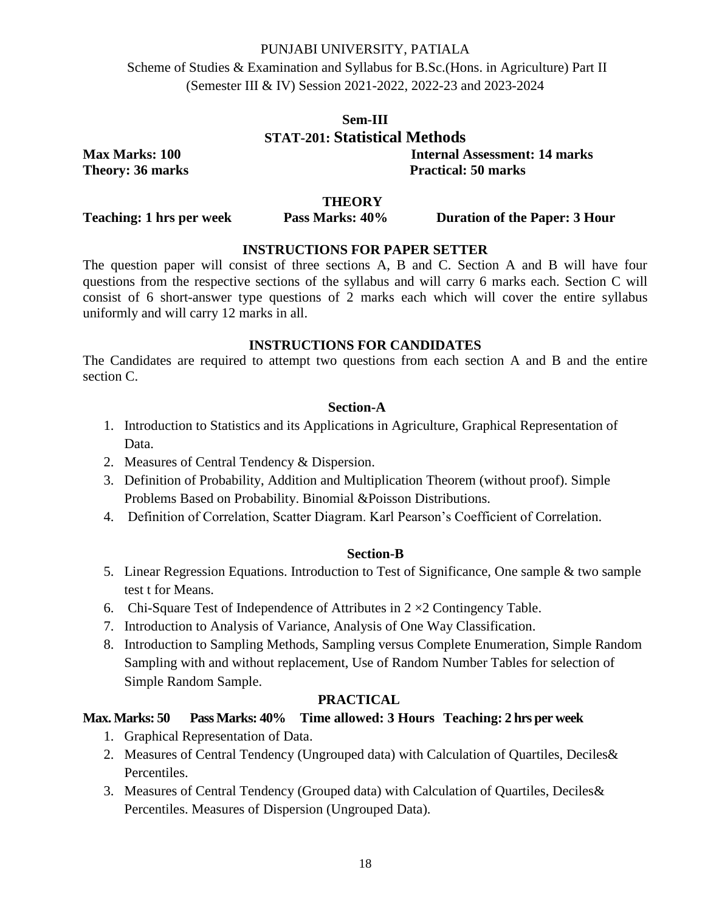Scheme of Studies & Examination and Syllabus for B.Sc.(Hons. in Agriculture) Part II (Semester III & IV) Session 2021-2022, 2022-23 and 2023-2024

# **Sem-III STAT-201: Statistical Methods Max Marks: 100 Internal Assessment: 14 marks**

**Theory: 36 marks** Practical: 50 marks

### **THEORY**

**Teaching: 1 hrs per week Pass Marks: 40% Duration of the Paper: 3 Hour**

# **INSTRUCTIONS FOR PAPER SETTER**

The question paper will consist of three sections A, B and C. Section A and B will have four questions from the respective sections of the syllabus and will carry 6 marks each. Section C will consist of 6 short-answer type questions of 2 marks each which will cover the entire syllabus uniformly and will carry 12 marks in all.

### **INSTRUCTIONS FOR CANDIDATES**

The Candidates are required to attempt two questions from each section A and B and the entire section C.

### **Section-A**

- 1. Introduction to Statistics and its Applications in Agriculture, Graphical Representation of Data.
- 2. Measures of Central Tendency & Dispersion.
- 3. Definition of Probability, Addition and Multiplication Theorem (without proof). Simple Problems Based on Probability. Binomial &Poisson Distributions.
- 4. Definition of Correlation, Scatter Diagram. Karl Pearson's Coefficient of Correlation.

#### **Section-B**

- 5. Linear Regression Equations. Introduction to Test of Significance, One sample & two sample test t for Means.
- 6. Chi-Square Test of Independence of Attributes in  $2 \times 2$  Contingency Table.
- 7. Introduction to Analysis of Variance, Analysis of One Way Classification.
- 8. Introduction to Sampling Methods, Sampling versus Complete Enumeration, Simple Random Sampling with and without replacement, Use of Random Number Tables for selection of Simple Random Sample.

#### **PRACTICAL**

# **Max. Marks: 50 Pass Marks: 40% Time allowed: 3 Hours Teaching: 2 hrs per week**

- 1. Graphical Representation of Data.
- 2. Measures of Central Tendency (Ungrouped data) with Calculation of Quartiles, Deciles& Percentiles.
- 3. Measures of Central Tendency (Grouped data) with Calculation of Quartiles, Deciles& Percentiles. Measures of Dispersion (Ungrouped Data).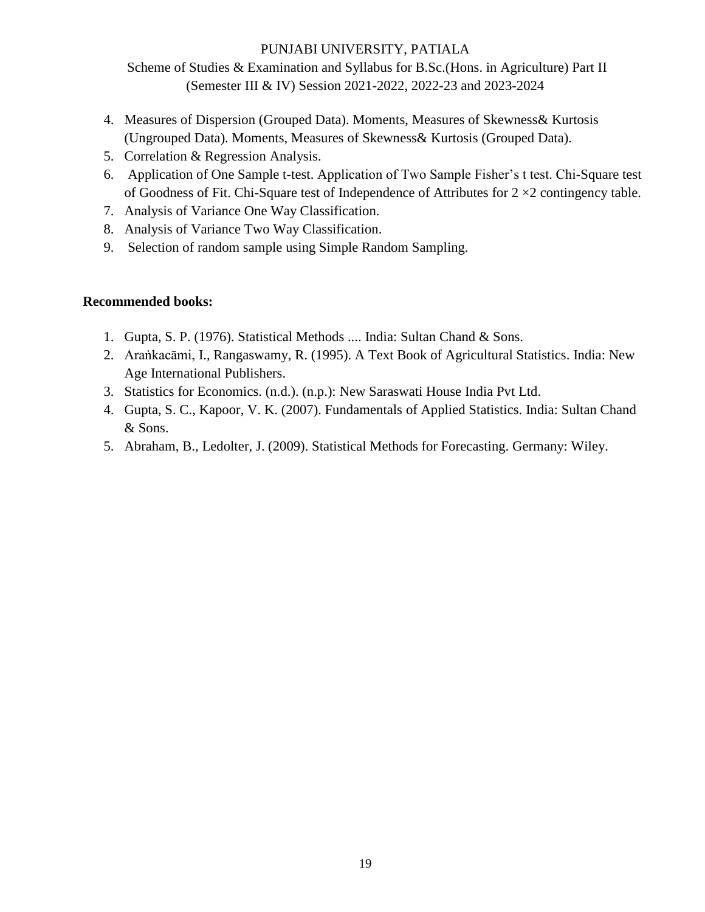Scheme of Studies & Examination and Syllabus for B.Sc.(Hons. in Agriculture) Part II (Semester III & IV) Session 2021-2022, 2022-23 and 2023-2024

- 4. Measures of Dispersion (Grouped Data). Moments, Measures of Skewness& Kurtosis (Ungrouped Data). Moments, Measures of Skewness& Kurtosis (Grouped Data).
- 5. Correlation & Regression Analysis.
- 6. Application of One Sample t-test. Application of Two Sample Fisher's t test. Chi-Square test of Goodness of Fit. Chi-Square test of Independence of Attributes for  $2 \times 2$  contingency table.
- 7. Analysis of Variance One Way Classification.
- 8. Analysis of Variance Two Way Classification.
- 9. Selection of random sample using Simple Random Sampling.

- 1. Gupta, S. P. (1976). Statistical Methods .... India: Sultan Chand & Sons.
- 2. Araṅkacāmi, I., Rangaswamy, R. (1995). A Text Book of Agricultural Statistics. India: New Age International Publishers.
- 3. Statistics for Economics. (n.d.). (n.p.): New Saraswati House India Pvt Ltd.
- 4. Gupta, S. C., Kapoor, V. K. (2007). Fundamentals of Applied Statistics. India: Sultan Chand & Sons.
- 5. Abraham, B., Ledolter, J. (2009). Statistical Methods for Forecasting. Germany: Wiley.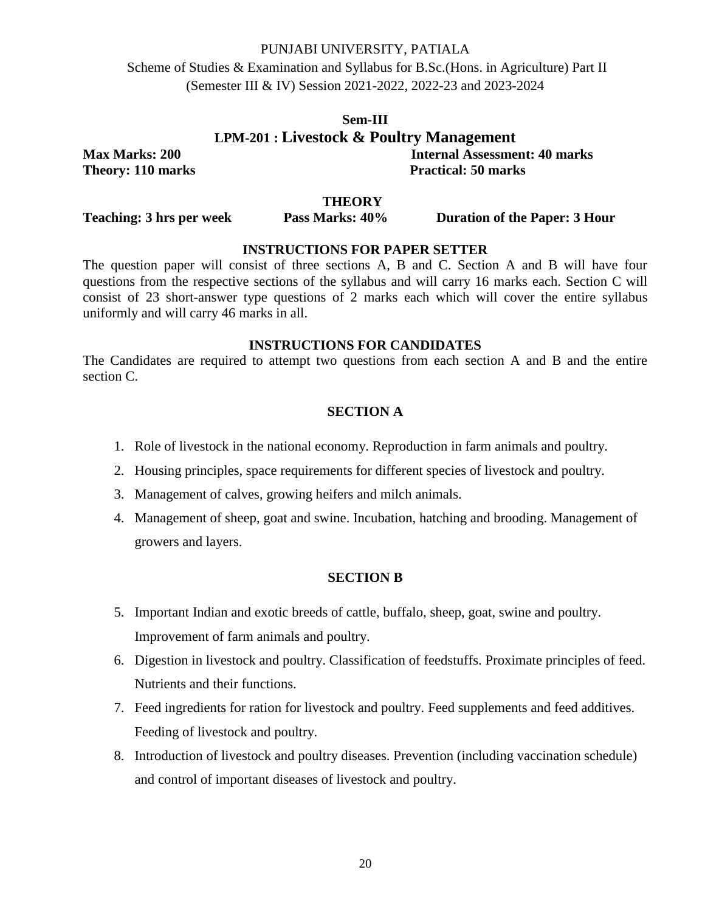Scheme of Studies & Examination and Syllabus for B.Sc.(Hons. in Agriculture) Part II (Semester III & IV) Session 2021-2022, 2022-23 and 2023-2024

# **Sem-III LPM-201 : Livestock & Poultry Management Max Marks: 200 Internal Assessment: 40 marks**

**Theory: 110 marks** Practical: 50 marks

#### **THEORY**

**Teaching: 3 hrs per week Pass Marks: 40% Duration of the Paper: 3 Hour**

# **INSTRUCTIONS FOR PAPER SETTER**

The question paper will consist of three sections A, B and C. Section A and B will have four questions from the respective sections of the syllabus and will carry 16 marks each. Section C will consist of 23 short-answer type questions of 2 marks each which will cover the entire syllabus uniformly and will carry 46 marks in all.

### **INSTRUCTIONS FOR CANDIDATES**

The Candidates are required to attempt two questions from each section A and B and the entire section C.

# **SECTION A**

- 1. Role of livestock in the national economy. Reproduction in farm animals and poultry.
- 2. Housing principles, space requirements for different species of livestock and poultry.
- 3. Management of calves, growing heifers and milch animals.
- 4. Management of sheep, goat and swine. Incubation, hatching and brooding. Management of growers and layers.

### **SECTION B**

- 5. Important Indian and exotic breeds of cattle, buffalo, sheep, goat, swine and poultry. Improvement of farm animals and poultry.
- 6. Digestion in livestock and poultry. Classification of feedstuffs. Proximate principles of feed. Nutrients and their functions.
- 7. Feed ingredients for ration for livestock and poultry. Feed supplements and feed additives. Feeding of livestock and poultry.
- 8. Introduction of livestock and poultry diseases. Prevention (including vaccination schedule) and control of important diseases of livestock and poultry.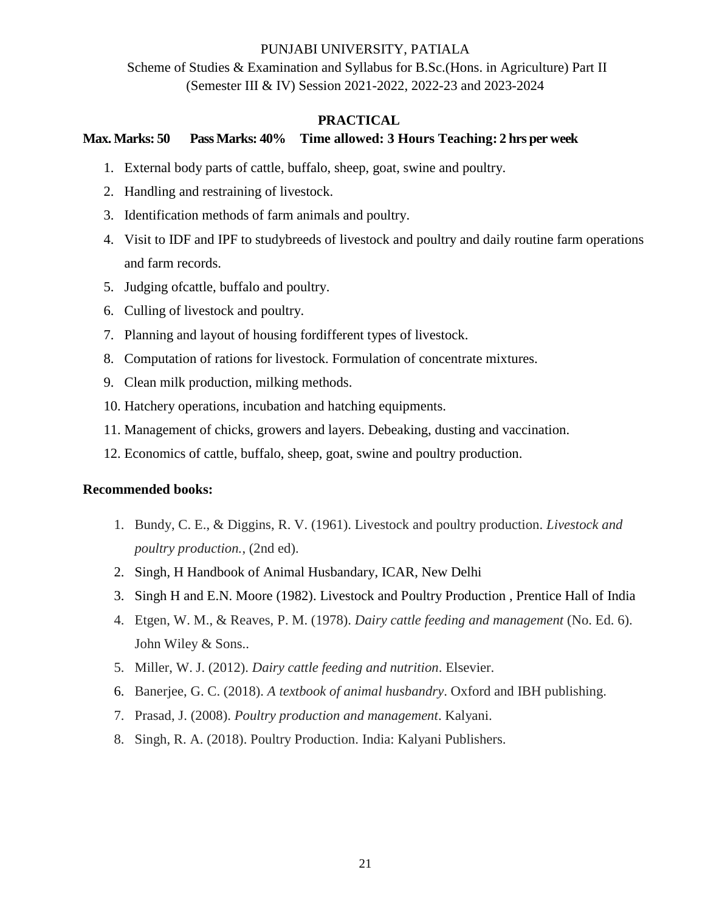Scheme of Studies & Examination and Syllabus for B.Sc.(Hons. in Agriculture) Part II (Semester III & IV) Session 2021-2022, 2022-23 and 2023-2024

# **PRACTICAL**

# **Max. Marks: 50 Pass Marks: 40% Time allowed: 3 Hours Teaching: 2 hrs per week**

- 1. External body parts of cattle, buffalo, sheep, goat, swine and poultry.
- 2. Handling and restraining of livestock.
- 3. Identification methods of farm animals and poultry.
- 4. Visit to IDF and IPF to studybreeds of livestock and poultry and daily routine farm operations and farm records.
- 5. Judging ofcattle, buffalo and poultry.
- 6. Culling of livestock and poultry.
- 7. Planning and layout of housing fordifferent types of livestock.
- 8. Computation of rations for livestock. Formulation of concentrate mixtures.
- 9. Clean milk production, milking methods.
- 10. Hatchery operations, incubation and hatching equipments.
- 11. Management of chicks, growers and layers. Debeaking, dusting and vaccination.
- 12. Economics of cattle, buffalo, sheep, goat, swine and poultry production.

- 1. Bundy, C. E., & Diggins, R. V. (1961). Livestock and poultry production. *Livestock and poultry production.*, (2nd ed).
- 2. Singh, H Handbook of Animal Husbandary, ICAR, New Delhi
- 3. Singh H and E.N. Moore (1982). Livestock and Poultry Production , Prentice Hall of India
- 4. Etgen, W. M., & Reaves, P. M. (1978). *Dairy cattle feeding and management* (No. Ed. 6). John Wiley & Sons..
- 5. Miller, W. J. (2012). *Dairy cattle feeding and nutrition*. Elsevier.
- 6. Banerjee, G. C. (2018). *A textbook of animal husbandry*. Oxford and IBH publishing.
- 7. Prasad, J. (2008). *Poultry production and management*. Kalyani.
- 8. Singh, R. A. (2018). Poultry Production. India: Kalyani Publishers.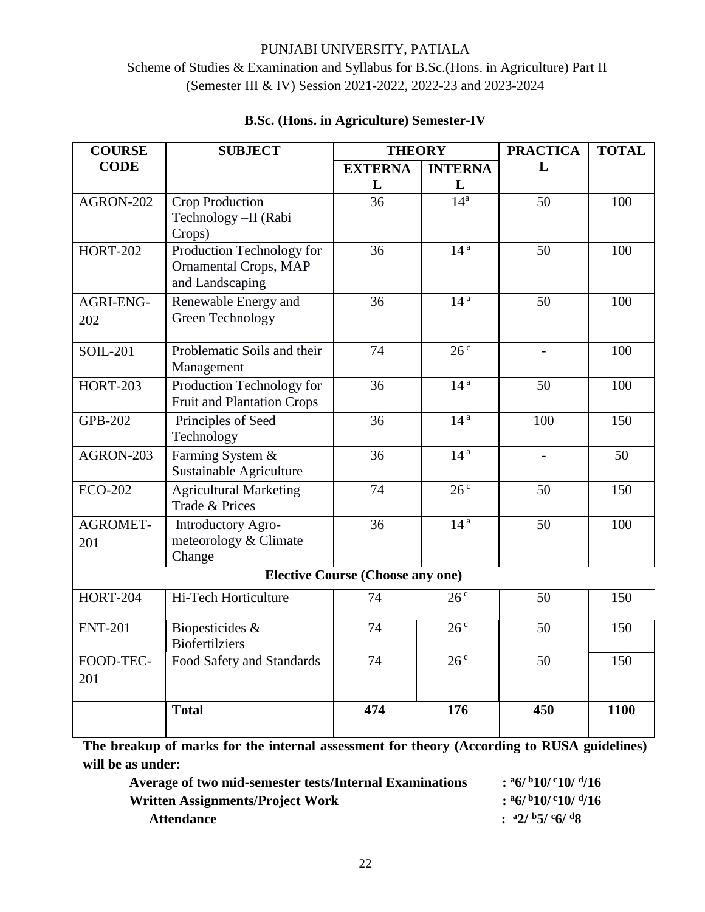# PUNJABI UNIVERSITY, PATIALA Scheme of Studies & Examination and Syllabus for B.Sc.(Hons. in Agriculture) Part II (Semester III & IV) Session 2021-2022, 2022-23 and 2023-2024

| <b>COURSE</b>   | <b>SUBJECT</b>                                            | <b>THEORY</b>                           |                         | <b>PRACTICA</b>   | <b>TOTAL</b> |
|-----------------|-----------------------------------------------------------|-----------------------------------------|-------------------------|-------------------|--------------|
| <b>CODE</b>     |                                                           | <b>EXTERNA</b>                          | <b>INTERNA</b>          | L                 |              |
|                 |                                                           | L                                       | L                       |                   |              |
| AGRON-202       | Crop Production                                           | 36                                      | 14 <sup>a</sup>         | 50                | 100          |
|                 | Technology - II (Rabi                                     |                                         |                         |                   |              |
|                 | Crops)                                                    |                                         | 14 <sup>a</sup>         |                   |              |
| $HORT-202$      | Production Technology for<br><b>Ornamental Crops, MAP</b> | 36                                      |                         | 50                | 100          |
|                 | and Landscaping                                           |                                         |                         |                   |              |
| AGRI-ENG-       | Renewable Energy and                                      | 36                                      | 14 <sup>a</sup>         | 50                | 100          |
| 202             | Green Technology                                          |                                         |                         |                   |              |
|                 |                                                           |                                         |                         |                   |              |
| <b>SOIL-201</b> | Problematic Soils and their                               | 74                                      | 26 <sup>c</sup>         | $\qquad \qquad -$ | 100          |
|                 | Management                                                |                                         |                         |                   |              |
| <b>HORT-203</b> | Production Technology for                                 | 36                                      | 14 <sup>a</sup>         | 50                | 100          |
|                 | <b>Fruit and Plantation Crops</b>                         |                                         |                         |                   |              |
| <b>GPB-202</b>  | Principles of Seed                                        | $\overline{36}$                         | 14 <sup>a</sup>         | 100               | 150          |
|                 | Technology                                                |                                         |                         |                   |              |
| AGRON-203       | Farming System &                                          | 36                                      | 14 <sup>a</sup>         |                   | 50           |
|                 | Sustainable Agriculture                                   |                                         |                         |                   |              |
| <b>ECO-202</b>  | <b>Agricultural Marketing</b>                             | $\overline{74}$                         | $\overline{26^{\circ}}$ | 50                | 150          |
|                 | Trade & Prices                                            |                                         |                         |                   |              |
| <b>AGROMET-</b> | Introductory Agro-                                        | $\overline{36}$                         | 14 <sup>a</sup>         | $\overline{50}$   | 100          |
| 201             | meteorology & Climate<br>Change                           |                                         |                         |                   |              |
|                 |                                                           | <b>Elective Course (Choose any one)</b> |                         |                   |              |
|                 |                                                           |                                         |                         |                   |              |
| <b>HORT-204</b> | Hi-Tech Horticulture                                      | 74                                      | 26 <sup>c</sup>         | 50                | 150          |
| <b>ENT-201</b>  | Biopesticides &                                           | 74                                      | 26 <sup>c</sup>         | 50                | 150          |
|                 | <b>Biofertilziers</b>                                     |                                         |                         |                   |              |
| FOOD-TEC-       | Food Safety and Standards                                 | 74                                      | 26 <sup>c</sup>         | 50                | 150          |
| 201             |                                                           |                                         |                         |                   |              |
|                 | <b>Total</b>                                              | 474                                     | 176                     | 450               | 1100         |
|                 |                                                           |                                         |                         |                   |              |

# **B.Sc. (Hons. in Agriculture) Semester-IV**

**The breakup of marks for the internal assessment for theory (According to RUSA guidelines) will be as under:**

**Average of two mid-semester tests/Internal Examinations : <sup>a</sup>6/ <sup>b</sup>10/ <sup>c</sup>10/ <sup>d</sup> Written Assignments/Project Work : <sup>a</sup>6/ <sup>b</sup>10/ <sup>c</sup>10/ <sup>d</sup> Attendance : a2/ b5/ c6/ d8**

 $:$ <sup>a</sup>6/<sup>b</sup>10/<sup>c</sup>10/<sup>d</sup>/16  $:$ <sup>a</sup>6/<sup>b</sup>10/<sup>c</sup>10/<sup>d</sup>/16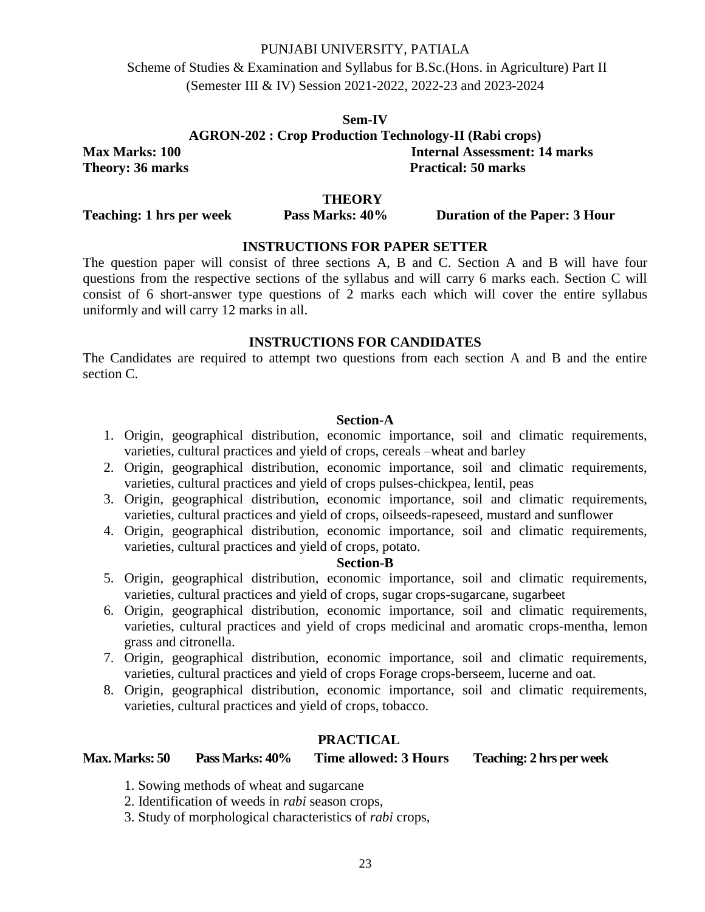Scheme of Studies & Examination and Syllabus for B.Sc.(Hons. in Agriculture) Part II (Semester III & IV) Session 2021-2022, 2022-23 and 2023-2024

**Sem-IV AGRON-202 : Crop Production Technology-II (Rabi crops) Max Marks: 100 Internal Assessment: 14 marks Theory: 36 marks Practical: 50 marks** 

#### **THEORY**

**Teaching: 1 hrs per week Pass Marks: 40% Duration of the Paper: 3 Hour** 

# **INSTRUCTIONS FOR PAPER SETTER**

The question paper will consist of three sections A, B and C. Section A and B will have four questions from the respective sections of the syllabus and will carry 6 marks each. Section C will consist of 6 short-answer type questions of 2 marks each which will cover the entire syllabus uniformly and will carry 12 marks in all.

#### **INSTRUCTIONS FOR CANDIDATES**

The Candidates are required to attempt two questions from each section A and B and the entire section C.

# **Section-A**

- 1. Origin, geographical distribution, economic importance, soil and climatic requirements, varieties, cultural practices and yield of crops, cereals –wheat and barley
- 2. Origin, geographical distribution, economic importance, soil and climatic requirements, varieties, cultural practices and yield of crops pulses-chickpea, lentil, peas
- 3. Origin, geographical distribution, economic importance, soil and climatic requirements, varieties, cultural practices and yield of crops, oilseeds-rapeseed, mustard and sunflower
- 4. Origin, geographical distribution, economic importance, soil and climatic requirements, varieties, cultural practices and yield of crops, potato.

#### **Section-B**

- 5. Origin, geographical distribution, economic importance, soil and climatic requirements, varieties, cultural practices and yield of crops, sugar crops-sugarcane, sugarbeet
- 6. Origin, geographical distribution, economic importance, soil and climatic requirements, varieties, cultural practices and yield of crops medicinal and aromatic crops-mentha, lemon grass and citronella.
- 7. Origin, geographical distribution, economic importance, soil and climatic requirements, varieties, cultural practices and yield of crops Forage crops-berseem, lucerne and oat.
- 8. Origin, geographical distribution, economic importance, soil and climatic requirements, varieties, cultural practices and yield of crops, tobacco.

# **PRACTICAL**

# **Max. Marks: 50 Pass Marks: 40% Time allowed: 3 Hours Teaching: 2 hrs per week**

- 1. Sowing methods of wheat and sugarcane
- 2. Identification of weeds in *rabi* season crops,
- 3. Study of morphological characteristics of *rabi* crops,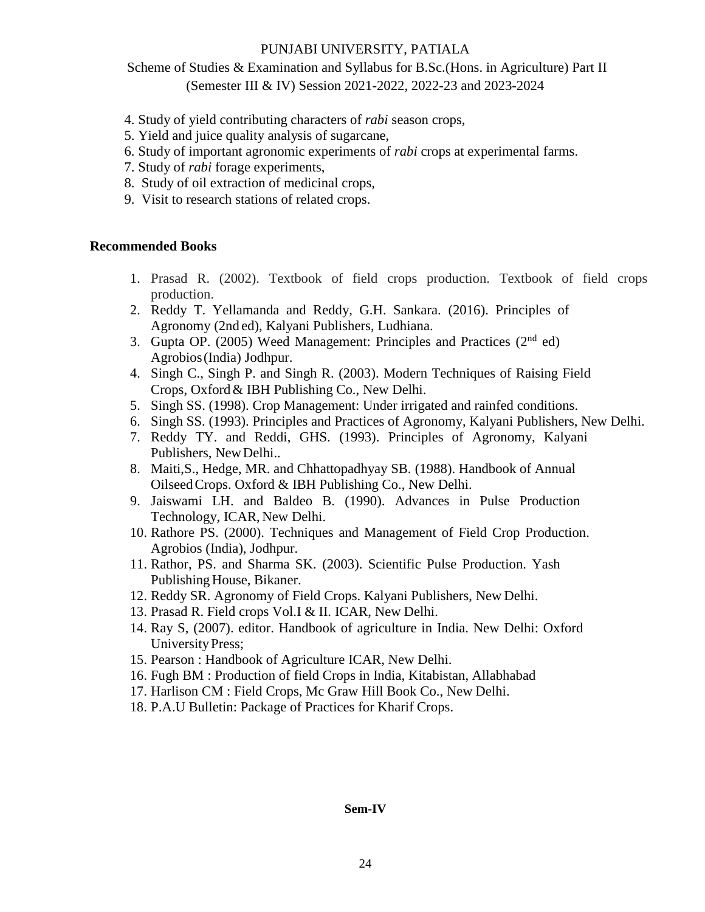Scheme of Studies & Examination and Syllabus for B.Sc.(Hons. in Agriculture) Part II (Semester III & IV) Session 2021-2022, 2022-23 and 2023-2024

- 4. Study of yield contributing characters of *rabi* season crops,
- 5. Yield and juice quality analysis of sugarcane,
- 6. Study of important agronomic experiments of *rabi* crops at experimental farms.
- 7. Study of *rabi* forage experiments,
- 8. Study of oil extraction of medicinal crops,
- 9. Visit to research stations of related crops.

### **Recommended Books**

- 1. Prasad R. (2002). Textbook of field crops production. Textbook of field crops production.
- 2. Reddy T. Yellamanda and Reddy, G.H. Sankara. (2016). Principles of Agronomy (2nd ed), Kalyani Publishers, Ludhiana.
- 3. Gupta OP. (2005) Weed Management: Principles and Practices (2nd ed) Agrobios(India) Jodhpur.
- 4. Singh C., Singh P. and Singh R. (2003). Modern Techniques of Raising Field Crops, Oxford& IBH Publishing Co., New Delhi.
- 5. Singh SS. (1998). Crop Management: Under irrigated and rainfed conditions.
- 6. Singh SS. (1993). Principles and Practices of Agronomy, Kalyani Publishers, New Delhi.
- 7. Reddy TY. and Reddi, GHS. (1993). Principles of Agronomy, Kalyani Publishers, NewDelhi..
- 8. Maiti,S., Hedge, MR. and Chhattopadhyay SB. (1988). Handbook of Annual OilseedCrops. Oxford & IBH Publishing Co., New Delhi.
- 9. Jaiswami LH. and Baldeo B. (1990). Advances in Pulse Production Technology, ICAR, New Delhi.
- 10. Rathore PS. (2000). Techniques and Management of Field Crop Production. Agrobios (India), Jodhpur.
- 11. Rathor, PS. and Sharma SK. (2003). Scientific Pulse Production. Yash Publishing House, Bikaner.
- 12. Reddy SR. Agronomy of Field Crops. Kalyani Publishers, New Delhi.
- 13. Prasad R. Field crops Vol.I & II. ICAR, New Delhi.
- 14. Ray S, (2007). editor. Handbook of agriculture in India. New Delhi: Oxford UniversityPress;
- 15. Pearson : Handbook of Agriculture ICAR, New Delhi.
- 16. Fugh BM : Production of field Crops in India, Kitabistan, Allabhabad
- 17. Harlison CM : Field Crops, Mc Graw Hill Book Co., New Delhi.
- 18. P.A.U Bulletin: Package of Practices for Kharif Crops.

#### **Sem-IV**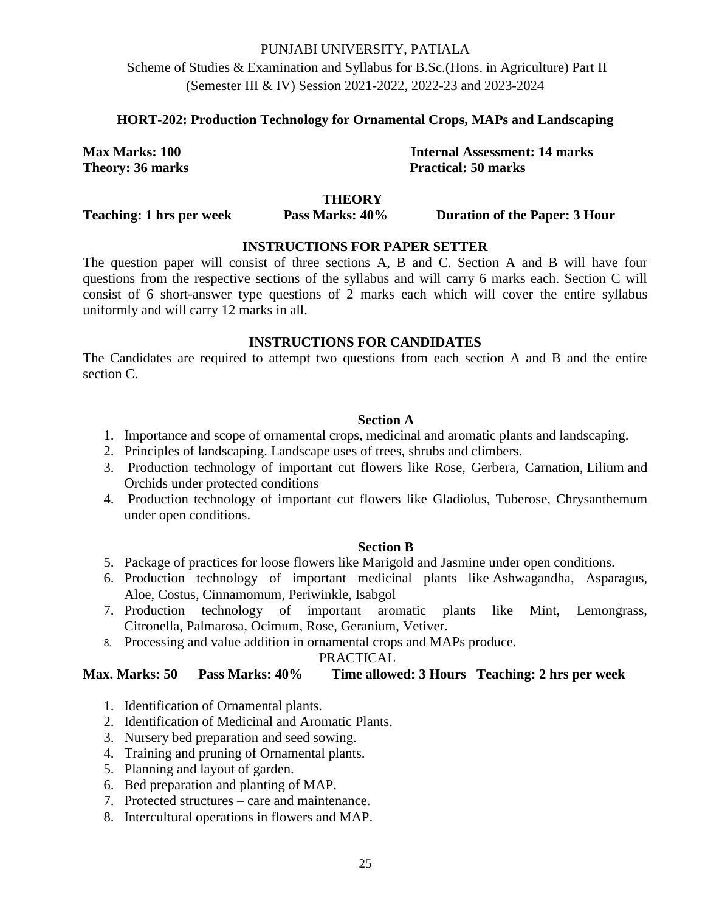Scheme of Studies & Examination and Syllabus for B.Sc.(Hons. in Agriculture) Part II (Semester III & IV) Session 2021-2022, 2022-23 and 2023-2024

# **HORT-202: Production Technology for Ornamental Crops, MAPs and Landscaping**

**Max Marks: 100 Internal Assessment: 14 marks Theory: 36 marks Practical: 50 marks** 

# **THEORY**

**Teaching: 1 hrs per week Pass Marks: 40% Duration of the Paper: 3 Hour** 

# **INSTRUCTIONS FOR PAPER SETTER**

The question paper will consist of three sections A, B and C. Section A and B will have four questions from the respective sections of the syllabus and will carry 6 marks each. Section C will consist of 6 short-answer type questions of 2 marks each which will cover the entire syllabus uniformly and will carry 12 marks in all.

#### **INSTRUCTIONS FOR CANDIDATES**

The Candidates are required to attempt two questions from each section A and B and the entire section C.

#### **Section A**

- 1. Importance and scope of ornamental crops, medicinal and aromatic plants and landscaping.
- 2. Principles of landscaping. Landscape uses of trees, shrubs and climbers.
- 3. Production technology of important cut flowers like Rose, Gerbera, Carnation, Lilium and Orchids under protected conditions
- 4. Production technology of important cut flowers like Gladiolus, Tuberose, Chrysanthemum under open conditions.

### **Section B**

- 5. Package of practices for loose flowers like Marigold and Jasmine under open conditions.
- 6. Production technology of important medicinal plants like Ashwagandha, Asparagus, Aloe, Costus, Cinnamomum, Periwinkle, Isabgol
- 7. Production technology of important aromatic plants like Mint, Lemongrass, Citronella, Palmarosa, Ocimum, Rose, Geranium, Vetiver.
- 8. Processing and value addition in ornamental crops and MAPs produce.

# PRACTICAL

# **Max. Marks: 50 Pass Marks: 40% Time allowed: 3 Hours Teaching: 2 hrs per week**

- 1. Identification of Ornamental plants.
- 2. Identification of Medicinal and Aromatic Plants.
- 3. Nursery bed preparation and seed sowing.
- 4. Training and pruning of Ornamental plants.
- 5. Planning and layout of garden.
- 6. Bed preparation and planting of MAP.
- 7. Protected structures care and maintenance.
- 8. Intercultural operations in flowers and MAP.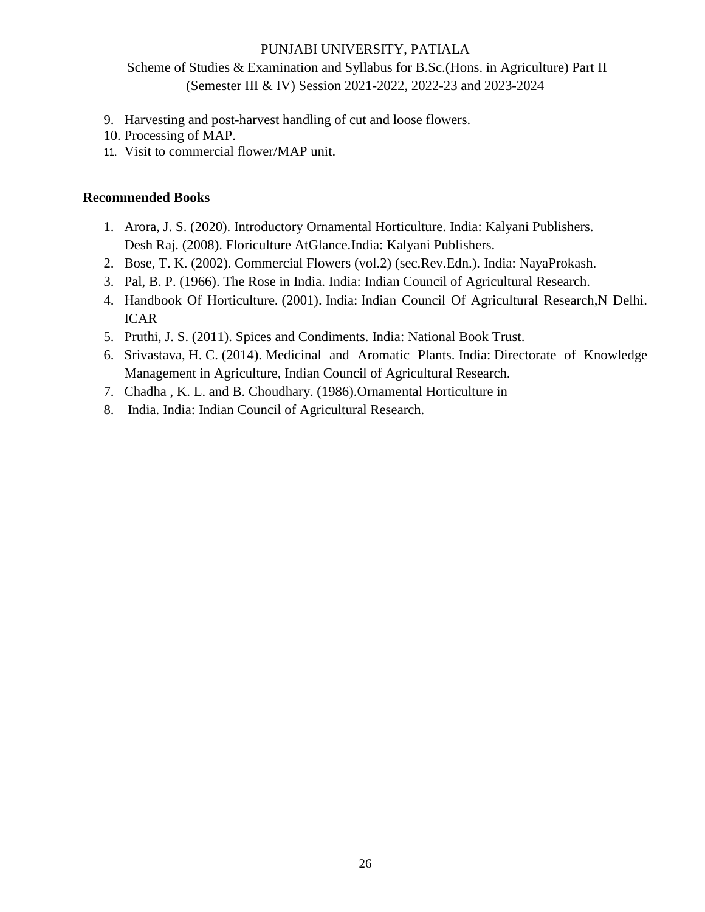Scheme of Studies & Examination and Syllabus for B.Sc.(Hons. in Agriculture) Part II (Semester III & IV) Session 2021-2022, 2022-23 and 2023-2024

- 9. Harvesting and post-harvest handling of cut and loose flowers.
- 10. Processing of MAP.
- 11. Visit to commercial flower/MAP unit.

- 1. Arora, J. S. (2020). Introductory Ornamental Horticulture. India: Kalyani Publishers. Desh Raj. (2008). Floriculture AtGlance.India: Kalyani Publishers.
- 2. Bose, T. K. (2002). Commercial Flowers (vol.2) (sec.Rev.Edn.). India: NayaProkash.
- 3. Pal, B. P. (1966). The Rose in India. India: Indian Council of Agricultural Research.
- 4. Handbook Of Horticulture. (2001). India: Indian Council Of Agricultural Research,N Delhi. ICAR
- 5. Pruthi, J. S. (2011). Spices and Condiments. India: National Book Trust.
- 6. Srivastava, H. C. (2014). Medicinal and Aromatic Plants. India: Directorate of Knowledge Management in Agriculture, Indian Council of Agricultural Research.
- 7. Chadha , K. L. and B. Choudhary. (1986).Ornamental Horticulture in
- 8. India. India: Indian Council of Agricultural Research.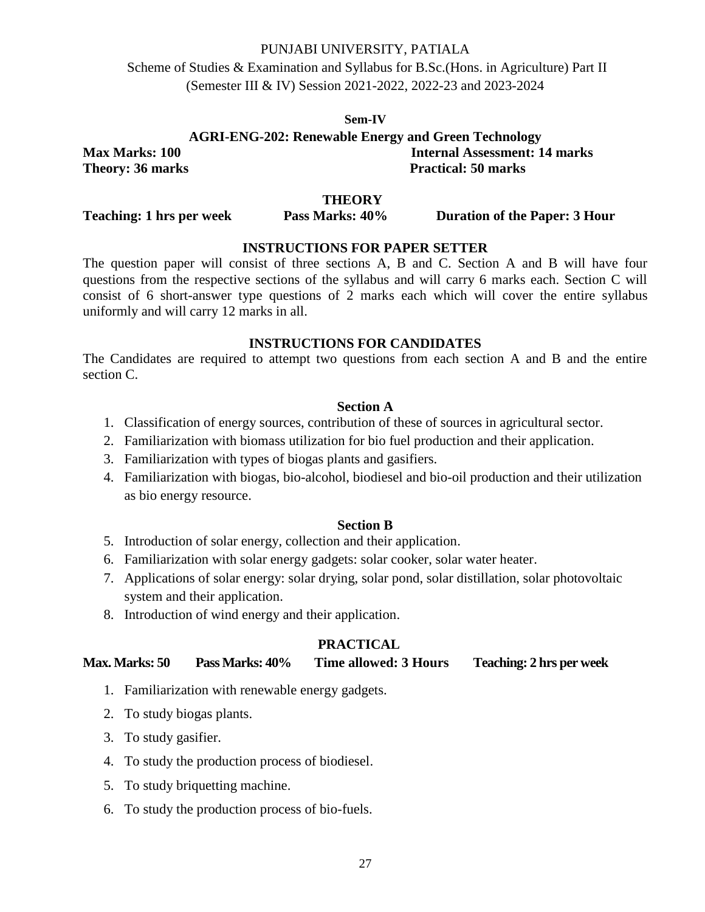Scheme of Studies & Examination and Syllabus for B.Sc.(Hons. in Agriculture) Part II (Semester III & IV) Session 2021-2022, 2022-23 and 2023-2024

#### **Sem-IV**

**AGRI-ENG-202: Renewable Energy and Green Technology Max Marks: 100 Internal Assessment: 14 marks Theory: 36 marks Practical: 50 marks** 

#### **THEORY**

**Teaching: 1 hrs per week Pass Marks: 40% Duration of the Paper: 3 Hour** 

## **INSTRUCTIONS FOR PAPER SETTER**

The question paper will consist of three sections A, B and C. Section A and B will have four questions from the respective sections of the syllabus and will carry 6 marks each. Section C will consist of 6 short-answer type questions of 2 marks each which will cover the entire syllabus uniformly and will carry 12 marks in all.

### **INSTRUCTIONS FOR CANDIDATES**

The Candidates are required to attempt two questions from each section A and B and the entire section C.

### **Section A**

- 1. Classification of energy sources, contribution of these of sources in agricultural sector.
- 2. Familiarization with biomass utilization for bio fuel production and their application.
- 3. Familiarization with types of biogas plants and gasifiers.
- 4. Familiarization with biogas, bio-alcohol, biodiesel and bio-oil production and their utilization as bio energy resource.

#### **Section B**

- 5. Introduction of solar energy, collection and their application.
- 6. Familiarization with solar energy gadgets: solar cooker, solar water heater.
- 7. Applications of solar energy: solar drying, solar pond, solar distillation, solar photovoltaic system and their application.
- 8. Introduction of wind energy and their application.

### **PRACTICAL**

| <b>Max. Marks: 50</b> | Pass Marks: 40% | Time allowed: 3 Hours | <b>Teaching: 2 hrs per week</b> |
|-----------------------|-----------------|-----------------------|---------------------------------|
|-----------------------|-----------------|-----------------------|---------------------------------|

- 1. Familiarization with renewable energy gadgets.
- 2. To study biogas plants.
- 3. To study gasifier.
- 4. To study the production process of biodiesel.
- 5. To study briquetting machine.
- 6. To study the production process of bio-fuels.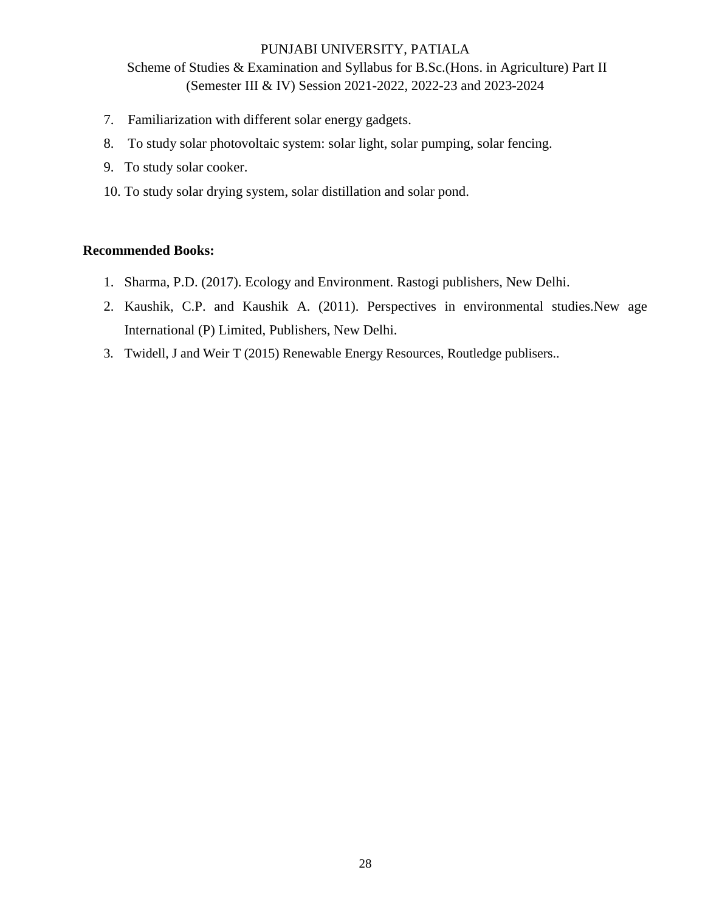Scheme of Studies & Examination and Syllabus for B.Sc.(Hons. in Agriculture) Part II (Semester III & IV) Session 2021-2022, 2022-23 and 2023-2024

- 7. Familiarization with different solar energy gadgets.
- 8. To study solar photovoltaic system: solar light, solar pumping, solar fencing.
- 9. To study solar cooker.
- 10. To study solar drying system, solar distillation and solar pond.

- 1. Sharma, P.D. (2017). Ecology and Environment. Rastogi publishers, New Delhi.
- 2. Kaushik, C.P. and Kaushik A. (2011). Perspectives in environmental studies.New age International (P) Limited, Publishers, New Delhi.
- 3. Twidell, J and Weir T (2015) Renewable Energy Resources, Routledge publisers..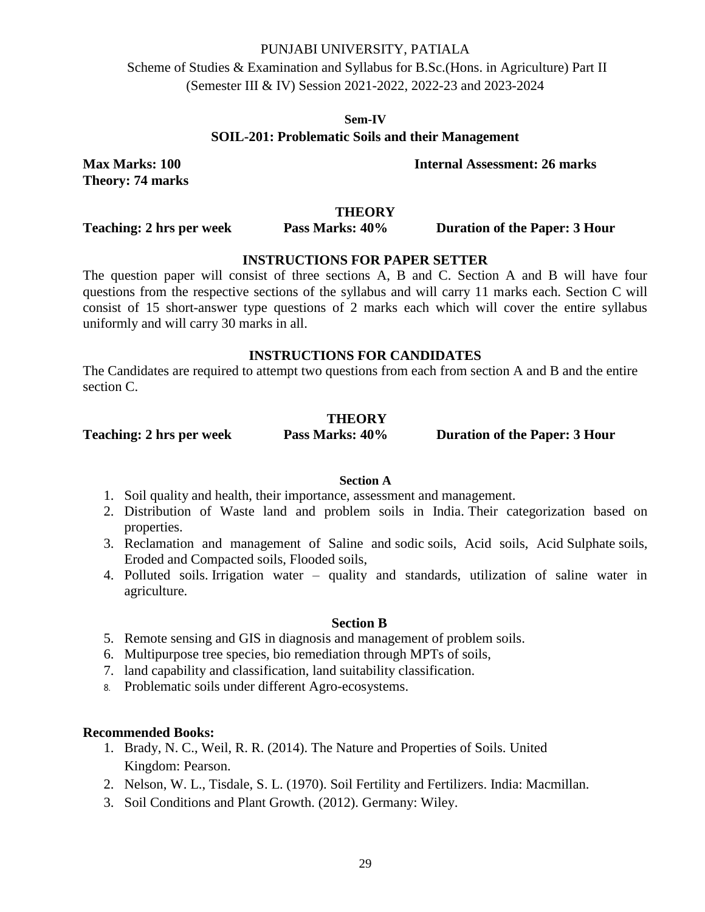Scheme of Studies & Examination and Syllabus for B.Sc.(Hons. in Agriculture) Part II (Semester III & IV) Session 2021-2022, 2022-23 and 2023-2024

**Sem-IV**

# **SOIL-201: Problematic Soils and their Management**

**Theory: 74 marks** 

**Max Marks: 100 Internal Assessment: 26 marks**

**THEORY**

**Teaching: 2 hrs per week Pass Marks: 40% Duration of the Paper: 3 Hour** 

# **INSTRUCTIONS FOR PAPER SETTER**

The question paper will consist of three sections A, B and C. Section A and B will have four questions from the respective sections of the syllabus and will carry 11 marks each. Section C will consist of 15 short-answer type questions of 2 marks each which will cover the entire syllabus uniformly and will carry 30 marks in all.

### **INSTRUCTIONS FOR CANDIDATES**

The Candidates are required to attempt two questions from each from section A and B and the entire section C.

### **THEORY**

**Teaching: 2 hrs per week Pass Marks: 40% Duration of the Paper: 3 Hour**

#### **Section A**

- 1. Soil quality and health, their importance, assessment and management.
- 2. Distribution of Waste land and problem soils in India. Their categorization based on properties.
- 3. Reclamation and management of Saline and sodic soils, Acid soils, Acid Sulphate soils, Eroded and Compacted soils, Flooded soils,
- 4. Polluted soils. Irrigation water quality and standards, utilization of saline water in agriculture.

#### **Section B**

- 5. Remote sensing and GIS in diagnosis and management of problem soils.
- 6. Multipurpose tree species, bio remediation through MPTs of soils,
- 7. land capability and classification, land suitability classification.
- 8. Problematic soils under different Agro-ecosystems.

- 1. Brady, N. C., Weil, R. R. (2014). The Nature and Properties of Soils. United Kingdom: Pearson.
- 2. Nelson, W. L., Tisdale, S. L. (1970). Soil Fertility and Fertilizers. India: Macmillan.
- 3. Soil Conditions and Plant Growth. (2012). Germany: Wiley.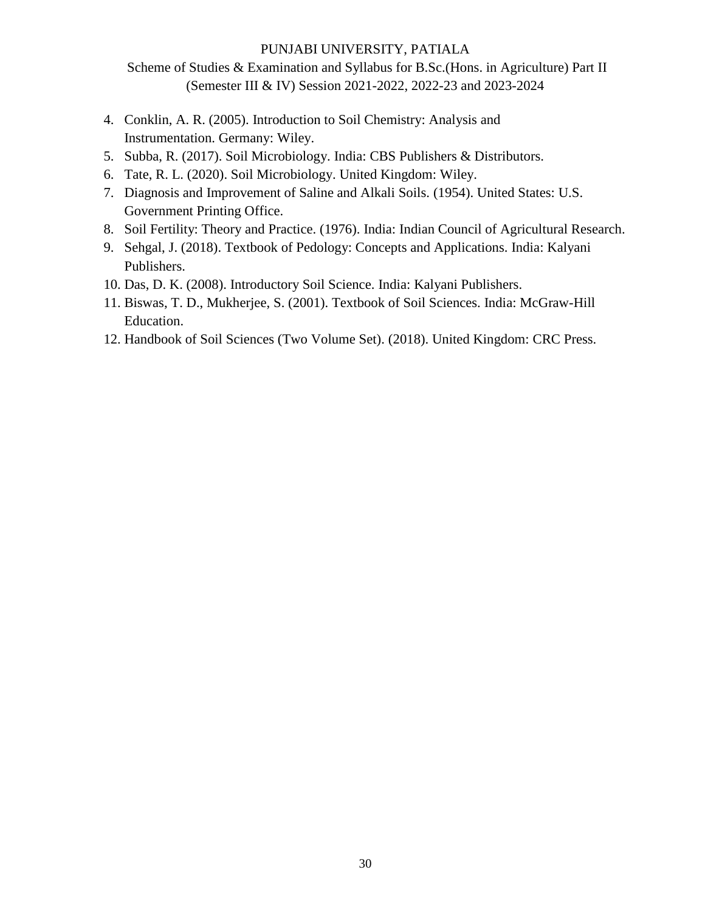Scheme of Studies & Examination and Syllabus for B.Sc.(Hons. in Agriculture) Part II (Semester III & IV) Session 2021-2022, 2022-23 and 2023-2024

- 4. Conklin, A. R. (2005). Introduction to Soil Chemistry: Analysis and Instrumentation. Germany: Wiley.
- 5. Subba, R. (2017). Soil Microbiology. India: CBS Publishers & Distributors.
- 6. Tate, R. L. (2020). Soil Microbiology. United Kingdom: Wiley.
- 7. Diagnosis and Improvement of Saline and Alkali Soils. (1954). United States: U.S. Government Printing Office.
- 8. Soil Fertility: Theory and Practice. (1976). India: Indian Council of Agricultural Research.
- 9. Sehgal, J. (2018). Textbook of Pedology: Concepts and Applications. India: Kalyani Publishers.
- 10. Das, D. K. (2008). Introductory Soil Science. India: Kalyani Publishers.
- 11. Biswas, T. D., Mukherjee, S. (2001). Textbook of Soil Sciences. India: McGraw-Hill Education.
- 12. Handbook of Soil Sciences (Two Volume Set). (2018). United Kingdom: CRC Press.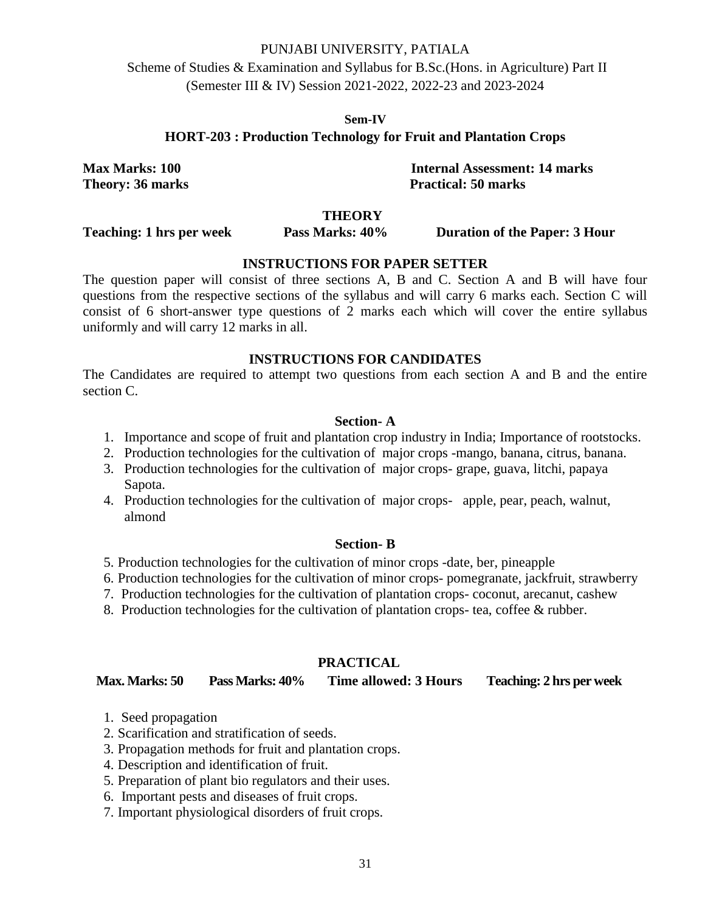Scheme of Studies & Examination and Syllabus for B.Sc.(Hons. in Agriculture) Part II (Semester III & IV) Session 2021-2022, 2022-23 and 2023-2024

#### **Sem-IV**

### **HORT-203 : Production Technology for Fruit and Plantation Crops**

**Max Marks: 100 Internal Assessment: 14 marks Theory: 36 marks Practical: 50 marks** 

#### **THEORY**

**Teaching: 1 hrs per week Pass Marks: 40% Duration of the Paper: 3 Hour** 

### **INSTRUCTIONS FOR PAPER SETTER**

The question paper will consist of three sections A, B and C. Section A and B will have four questions from the respective sections of the syllabus and will carry 6 marks each. Section C will consist of 6 short-answer type questions of 2 marks each which will cover the entire syllabus uniformly and will carry 12 marks in all.

#### **INSTRUCTIONS FOR CANDIDATES**

The Candidates are required to attempt two questions from each section A and B and the entire section C.

#### **Section- A**

- 1. Importance and scope of fruit and plantation crop industry in India; Importance of rootstocks.
- 2. Production technologies for the cultivation of major crops -mango, banana, citrus, banana.
- 3. Production technologies for the cultivation of major crops- grape, guava, litchi, papaya Sapota.
- 4. Production technologies for the cultivation of major crops- apple, pear, peach, walnut, almond

#### **Section- B**

- 5. Production technologies for the cultivation of minor crops -date, ber, pineapple
- 6. Production technologies for the cultivation of minor crops- pomegranate, jackfruit, strawberry
- 7. Production technologies for the cultivation of plantation crops- coconut, arecanut, cashew
- 8. Production technologies for the cultivation of plantation crops- tea, coffee & rubber.

#### **PRACTICAL**

**Max. Marks: 50 Pass Marks: 40% Time allowed: 3 Hours Teaching: 2 hrs per week**

- 1. Seed propagation
- 2. Scarification and stratification of seeds.
- 3. Propagation methods for fruit and plantation crops.
- 4. Description and identification of fruit.
- 5. Preparation of plant bio regulators and their uses.
- 6. Important pests and diseases of fruit crops.
- 7. Important physiological disorders of fruit crops.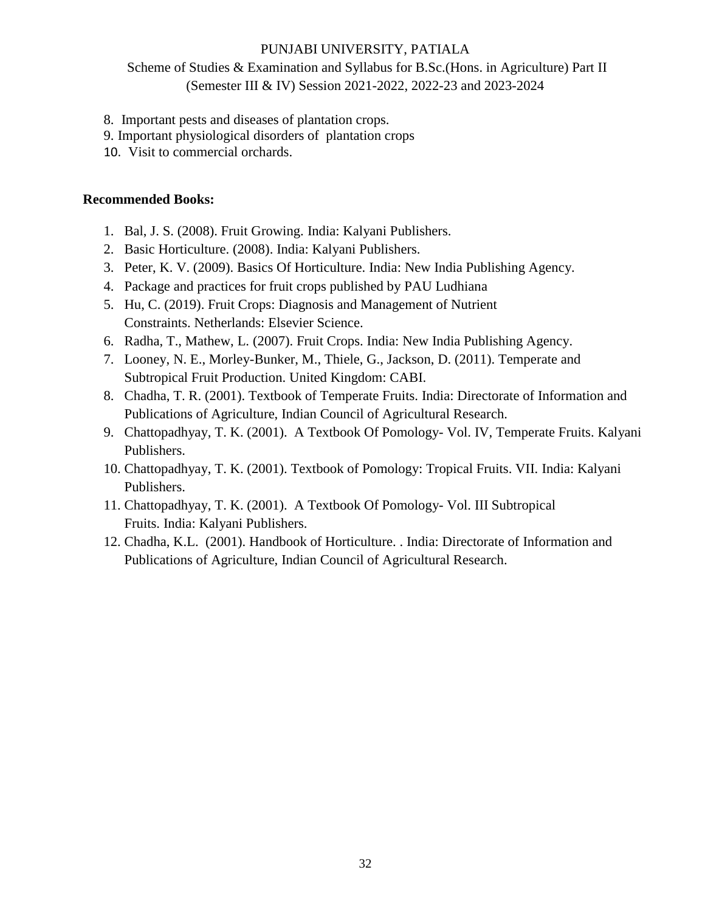Scheme of Studies & Examination and Syllabus for B.Sc.(Hons. in Agriculture) Part II (Semester III & IV) Session 2021-2022, 2022-23 and 2023-2024

- 8. Important pests and diseases of plantation crops.
- 9. Important physiological disorders of plantation crops
- 10. Visit to commercial orchards.

- 1. Bal, J. S. (2008). Fruit Growing. India: Kalyani Publishers.
- 2. Basic Horticulture. (2008). India: Kalyani Publishers.
- 3. Peter, K. V. (2009). Basics Of Horticulture. India: New India Publishing Agency.
- 4. Package and practices for fruit crops published by PAU Ludhiana
- 5. Hu, C. (2019). Fruit Crops: Diagnosis and Management of Nutrient Constraints. Netherlands: Elsevier Science.
- 6. Radha, T., Mathew, L. (2007). Fruit Crops. India: New India Publishing Agency.
- 7. Looney, N. E., Morley-Bunker, M., Thiele, G., Jackson, D. (2011). Temperate and Subtropical Fruit Production. United Kingdom: CABI.
- 8. Chadha, T. R. (2001). Textbook of Temperate Fruits. India: Directorate of Information and Publications of Agriculture, Indian Council of Agricultural Research.
- 9. Chattopadhyay, T. K. (2001). A Textbook Of Pomology- Vol. IV, Temperate Fruits. Kalyani Publishers.
- 10. Chattopadhyay, T. K. (2001). Textbook of Pomology: Tropical Fruits. VII. India: Kalyani Publishers.
- 11. Chattopadhyay, T. K. (2001). A Textbook Of Pomology- Vol. III Subtropical Fruits. India: Kalyani Publishers.
- 12. Chadha, K.L. (2001). Handbook of Horticulture. . India: Directorate of Information and Publications of Agriculture, Indian Council of Agricultural Research.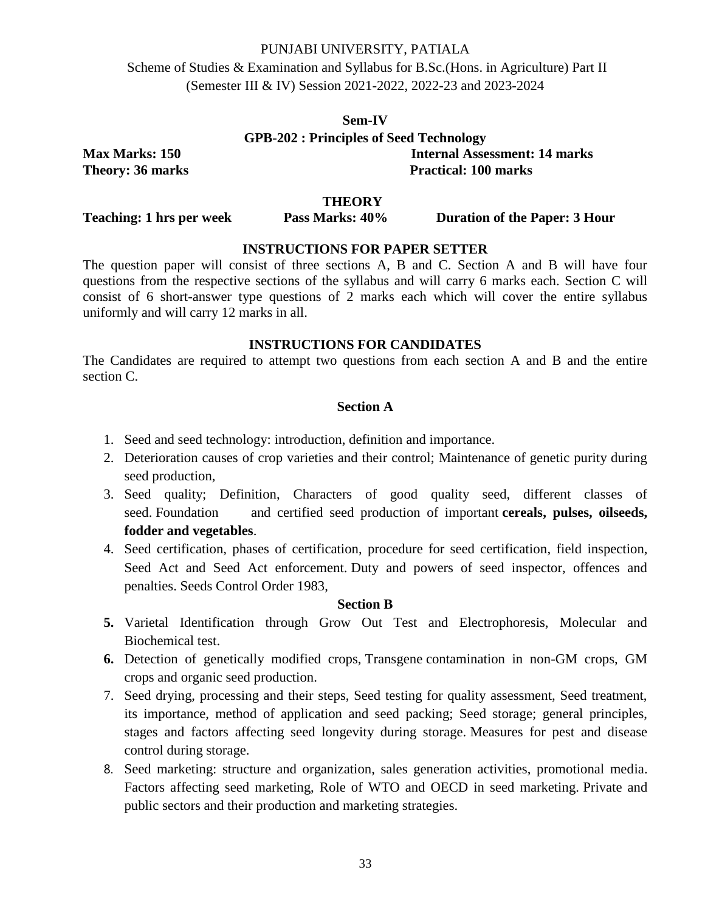Scheme of Studies & Examination and Syllabus for B.Sc.(Hons. in Agriculture) Part II (Semester III & IV) Session 2021-2022, 2022-23 and 2023-2024

# **Sem-IV GPB-202 : Principles of Seed Technology Max Marks: 150 Internal Assessment: 14 marks Theory: 36 marks** Practical: 100 marks

**THEORY**

**Teaching: 1 hrs per week Pass Marks: 40% Duration of the Paper: 3 Hour** 

# **INSTRUCTIONS FOR PAPER SETTER**

The question paper will consist of three sections A, B and C. Section A and B will have four questions from the respective sections of the syllabus and will carry 6 marks each. Section C will consist of 6 short-answer type questions of 2 marks each which will cover the entire syllabus uniformly and will carry 12 marks in all.

### **INSTRUCTIONS FOR CANDIDATES**

The Candidates are required to attempt two questions from each section A and B and the entire section C.

### **Section A**

- 1. Seed and seed technology: introduction, definition and importance.
- 2. Deterioration causes of crop varieties and their control; Maintenance of genetic purity during seed production,
- 3. Seed quality; Definition, Characters of good quality seed, different classes of seed. Foundation and certified seed production of important **cereals, pulses, oilseeds, fodder and vegetables**.
- 4. Seed certification, phases of certification, procedure for seed certification, field inspection, Seed Act and Seed Act enforcement. Duty and powers of seed inspector, offences and penalties. Seeds Control Order 1983,

#### **Section B**

- **5.** Varietal Identification through Grow Out Test and Electrophoresis, Molecular and Biochemical test.
- **6.** Detection of genetically modified crops, Transgene contamination in non-GM crops, GM crops and organic seed production.
- 7. Seed drying, processing and their steps, Seed testing for quality assessment, Seed treatment, its importance, method of application and seed packing; Seed storage; general principles, stages and factors affecting seed longevity during storage. Measures for pest and disease control during storage.
- 8. Seed marketing: structure and organization, sales generation activities, promotional media. Factors affecting seed marketing, Role of WTO and OECD in seed marketing. Private and public sectors and their production and marketing strategies.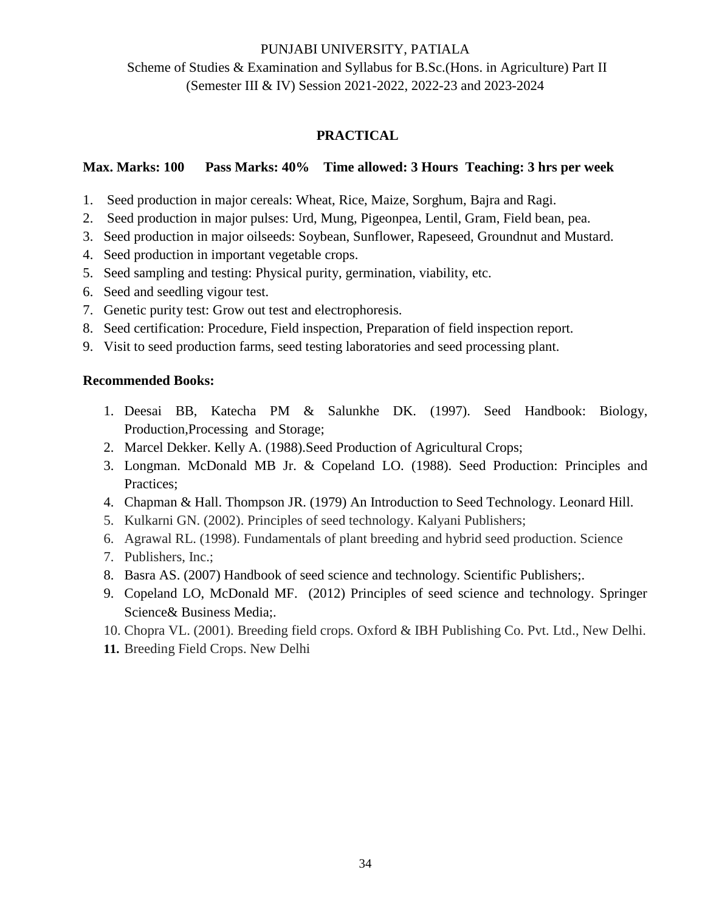Scheme of Studies & Examination and Syllabus for B.Sc.(Hons. in Agriculture) Part II (Semester III & IV) Session 2021-2022, 2022-23 and 2023-2024

# **PRACTICAL**

# **Max. Marks: 100 Pass Marks: 40% Time allowed: 3 Hours Teaching: 3 hrs per week**

- 1. Seed production in major cereals: Wheat, Rice, Maize, Sorghum, Bajra and Ragi.
- 2. Seed production in major pulses: Urd, Mung, Pigeonpea, Lentil, Gram, Field bean, pea.
- 3. Seed production in major oilseeds: Soybean, Sunflower, Rapeseed, Groundnut and Mustard.
- 4. Seed production in important vegetable crops.
- 5. Seed sampling and testing: Physical purity, germination, viability, etc.
- 6. Seed and seedling vigour test.
- 7. Genetic purity test: Grow out test and electrophoresis.
- 8. Seed certification: Procedure, Field inspection, Preparation of field inspection report.
- 9. Visit to seed production farms, seed testing laboratories and seed processing plant.

- 1. Deesai BB, Katecha PM & Salunkhe DK. (1997). Seed Handbook: Biology, Production,Processing and Storage;
- 2. Marcel Dekker. Kelly A. (1988).Seed Production of Agricultural Crops;
- 3. Longman. McDonald MB Jr. & Copeland LO. (1988). Seed Production: Principles and Practices;
- 4. Chapman & Hall. Thompson JR. (1979) An Introduction to Seed Technology. Leonard Hill.
- 5. Kulkarni GN. (2002). Principles of seed technology. Kalyani Publishers;
- 6. Agrawal RL. (1998). Fundamentals of plant breeding and hybrid seed production. Science
- 7. Publishers, Inc.;
- 8. Basra AS. (2007) Handbook of seed science and technology. Scientific Publishers;.
- 9. Copeland LO, McDonald MF. (2012) Principles of seed science and technology. Springer Science& Business Media;.
- 10. Chopra VL. (2001). Breeding field crops. Oxford & IBH Publishing Co. Pvt. Ltd., New Delhi.
- **11.** Breeding Field Crops. New Delhi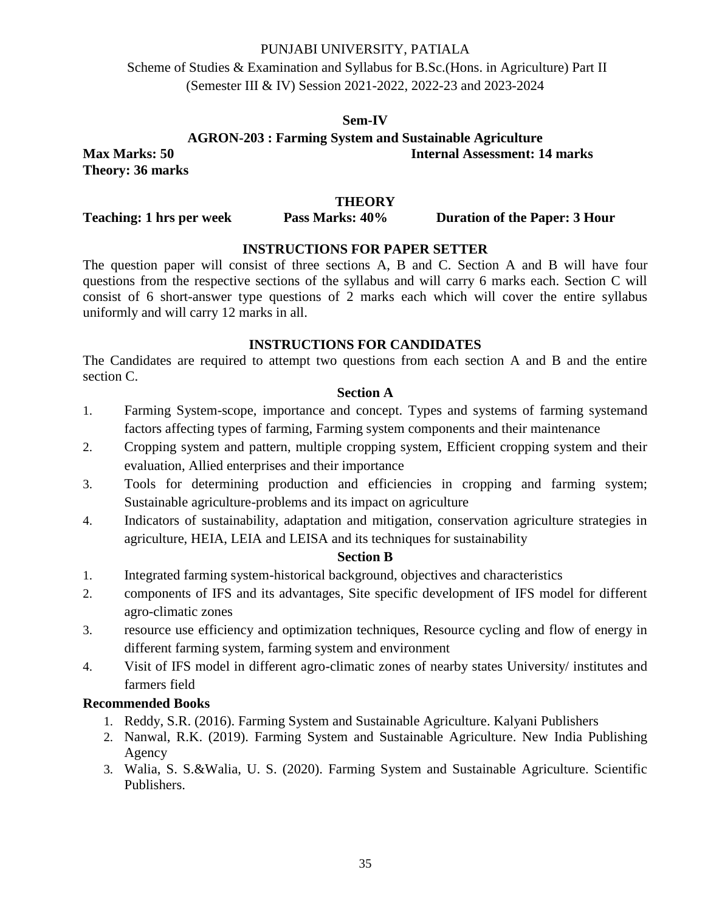Scheme of Studies & Examination and Syllabus for B.Sc.(Hons. in Agriculture) Part II (Semester III & IV) Session 2021-2022, 2022-23 and 2023-2024

### **Sem-IV**

**AGRON-203 : Farming System and Sustainable Agriculture**

**Max Marks: 50 Internal Assessment: 14 marks Theory: 36 marks** 

# **THEORY**

**Teaching: 1 hrs per week Pass Marks: 40% Duration of the Paper: 3 Hour** 

# **INSTRUCTIONS FOR PAPER SETTER**

The question paper will consist of three sections A, B and C. Section A and B will have four questions from the respective sections of the syllabus and will carry 6 marks each. Section C will consist of 6 short-answer type questions of 2 marks each which will cover the entire syllabus uniformly and will carry 12 marks in all.

# **INSTRUCTIONS FOR CANDIDATES**

The Candidates are required to attempt two questions from each section A and B and the entire section C.

# **Section A**

- 1. Farming System-scope, importance and concept. Types and systems of farming systemand factors affecting types of farming, Farming system components and their maintenance
- 2. Cropping system and pattern, multiple cropping system, Efficient cropping system and their evaluation, Allied enterprises and their importance
- 3. Tools for determining production and efficiencies in cropping and farming system; Sustainable agriculture-problems and its impact on agriculture
- 4. Indicators of sustainability, adaptation and mitigation, conservation agriculture strategies in agriculture, HEIA, LEIA and LEISA and its techniques for sustainability

#### **Section B**

- 1. Integrated farming system-historical background, objectives and characteristics
- 2. components of IFS and its advantages, Site specific development of IFS model for different agro-climatic zones
- 3. resource use efficiency and optimization techniques, Resource cycling and flow of energy in different farming system, farming system and environment
- 4. Visit of IFS model in different agro-climatic zones of nearby states University/ institutes and farmers field

- 1. Reddy, S.R. (2016). Farming System and Sustainable Agriculture. Kalyani Publishers
- 2. Nanwal, R.K. (2019). Farming System and Sustainable Agriculture. New India Publishing Agency
- 3. Walia, S. S.&Walia, U. S. (2020). Farming System and Sustainable Agriculture. Scientific Publishers.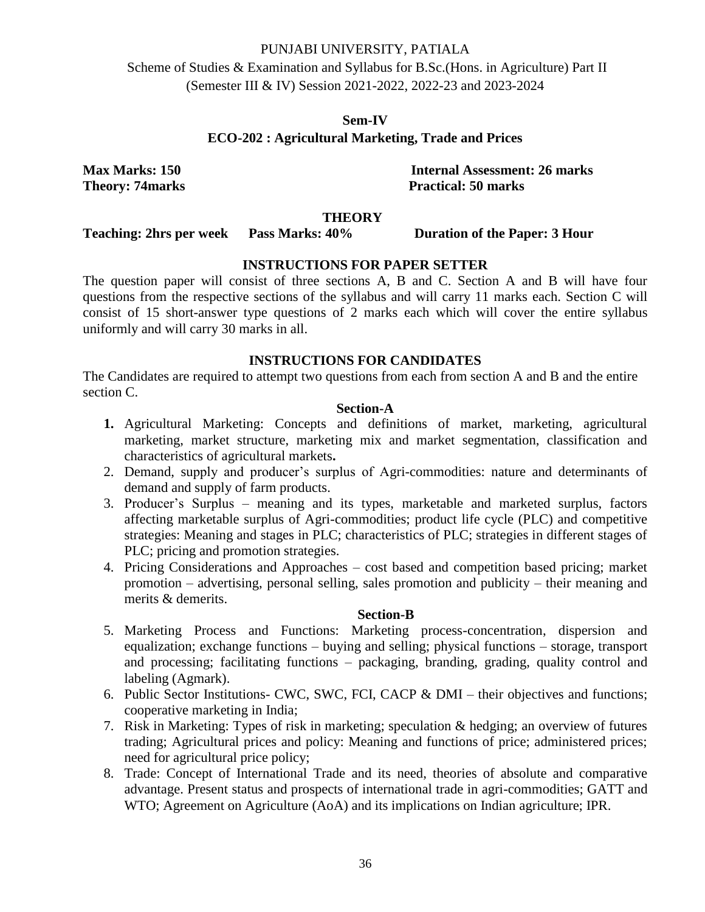Scheme of Studies & Examination and Syllabus for B.Sc.(Hons. in Agriculture) Part II (Semester III & IV) Session 2021-2022, 2022-23 and 2023-2024

# **Sem-IV ECO-202 : Agricultural Marketing, Trade and Prices**

**Max Marks: 150 Internal Assessment: 26 marks Theory: 74marks** Practical: 50 marks

#### **THEORY**

**Teaching: 2hrs per week Pass Marks: 40% Duration of the Paper: 3 Hour**

# **INSTRUCTIONS FOR PAPER SETTER**

The question paper will consist of three sections A, B and C. Section A and B will have four questions from the respective sections of the syllabus and will carry 11 marks each. Section C will consist of 15 short-answer type questions of 2 marks each which will cover the entire syllabus uniformly and will carry 30 marks in all.

# **INSTRUCTIONS FOR CANDIDATES**

The Candidates are required to attempt two questions from each from section A and B and the entire section C.

#### **Section-A**

- **1.** Agricultural Marketing: Concepts and definitions of market, marketing, agricultural marketing, market structure, marketing mix and market segmentation, classification and characteristics of agricultural markets**.**
- 2. Demand, supply and producer's surplus of Agri-commodities: nature and determinants of demand and supply of farm products.
- 3. Producer's Surplus meaning and its types, marketable and marketed surplus, factors affecting marketable surplus of Agri-commodities; product life cycle (PLC) and competitive strategies: Meaning and stages in PLC; characteristics of PLC; strategies in different stages of PLC; pricing and promotion strategies.
- 4. Pricing Considerations and Approaches cost based and competition based pricing; market promotion – advertising, personal selling, sales promotion and publicity – their meaning and merits & demerits.

### **Section-B**

- 5. Marketing Process and Functions: Marketing process-concentration, dispersion and equalization; exchange functions – buying and selling; physical functions – storage, transport and processing; facilitating functions – packaging, branding, grading, quality control and labeling (Agmark).
- 6. Public Sector Institutions- CWC, SWC, FCI, CACP & DMI their objectives and functions; cooperative marketing in India;
- 7. Risk in Marketing: Types of risk in marketing; speculation & hedging; an overview of futures trading; Agricultural prices and policy: Meaning and functions of price; administered prices; need for agricultural price policy;
- 8. Trade: Concept of International Trade and its need, theories of absolute and comparative advantage. Present status and prospects of international trade in agri-commodities; GATT and WTO; Agreement on Agriculture (AoA) and its implications on Indian agriculture; IPR.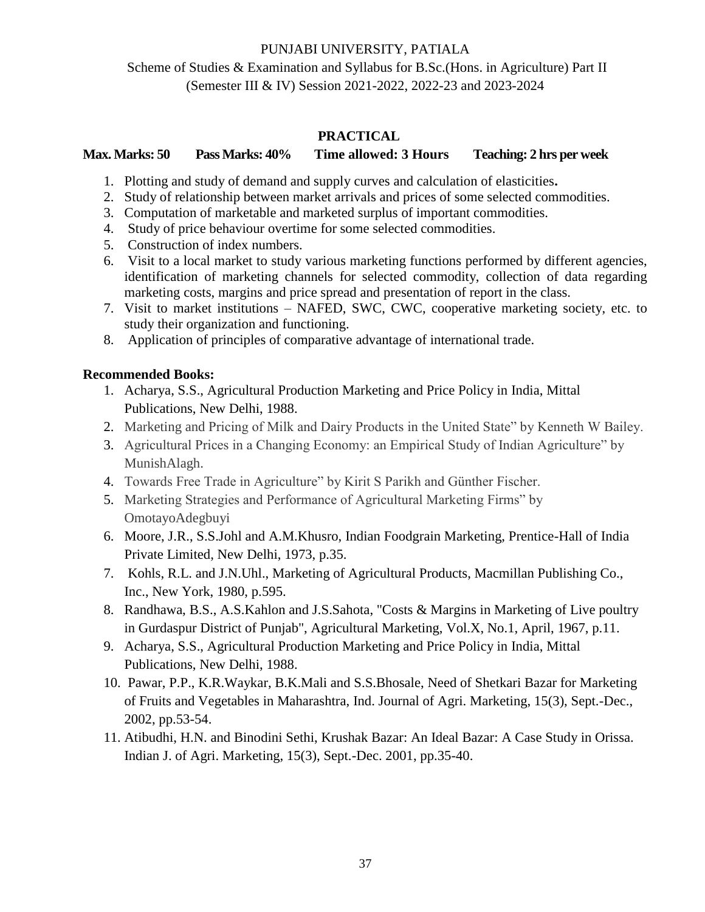Scheme of Studies & Examination and Syllabus for B.Sc.(Hons. in Agriculture) Part II (Semester III & IV) Session 2021-2022, 2022-23 and 2023-2024

# **PRACTICAL**

# **Max. Marks: 50 Pass Marks: 40% Time allowed: 3 Hours Teaching: 2 hrs per week**

- 1. Plotting and study of demand and supply curves and calculation of elasticities**.**
- 2. Study of relationship between market arrivals and prices of some selected commodities.
- 3. Computation of marketable and marketed surplus of important commodities.
- 4. Study of price behaviour overtime for some selected commodities.
- 5. Construction of index numbers.
- 6. Visit to a local market to study various marketing functions performed by different agencies, identification of marketing channels for selected commodity, collection of data regarding marketing costs, margins and price spread and presentation of report in the class.
- 7. Visit to market institutions NAFED, SWC, CWC, cooperative marketing society, etc. to study their organization and functioning.
- 8. Application of principles of comparative advantage of international trade.

- 1. Acharya, S.S., Agricultural Production Marketing and Price Policy in India, Mittal Publications, New Delhi, 1988.
- 2. Marketing and Pricing of Milk and Dairy Products in the United State" by Kenneth W Bailey.
- 3. Agricultural Prices in a Changing Economy: an Empirical Study of Indian Agriculture" by MunishAlagh.
- 4. Towards Free Trade in Agriculture" by Kirit S Parikh and Günther Fischer.
- 5. Marketing Strategies and Performance of Agricultural Marketing Firms" by OmotayoAdegbuyi
- 6. Moore, J.R., S.S.Johl and A.M.Khusro, Indian Foodgrain Marketing, Prentice-Hall of India Private Limited, New Delhi, 1973, p.35.
- 7. Kohls, R.L. and J.N.Uhl., Marketing of Agricultural Products, Macmillan Publishing Co., Inc., New York, 1980, p.595.
- 8. Randhawa, B.S., A.S.Kahlon and J.S.Sahota, "Costs & Margins in Marketing of Live poultry in Gurdaspur District of Punjab", Agricultural Marketing, Vol.X, No.1, April, 1967, p.11.
- 9. Acharya, S.S., Agricultural Production Marketing and Price Policy in India, Mittal Publications, New Delhi, 1988.
- 10. Pawar, P.P., K.R.Waykar, B.K.Mali and S.S.Bhosale, Need of Shetkari Bazar for Marketing of Fruits and Vegetables in Maharashtra, Ind. Journal of Agri. Marketing, 15(3), Sept.-Dec., 2002, pp.53-54.
- 11. Atibudhi, H.N. and Binodini Sethi, Krushak Bazar: An Ideal Bazar: A Case Study in Orissa. Indian J. of Agri. Marketing, 15(3), Sept.-Dec. 2001, pp.35-40.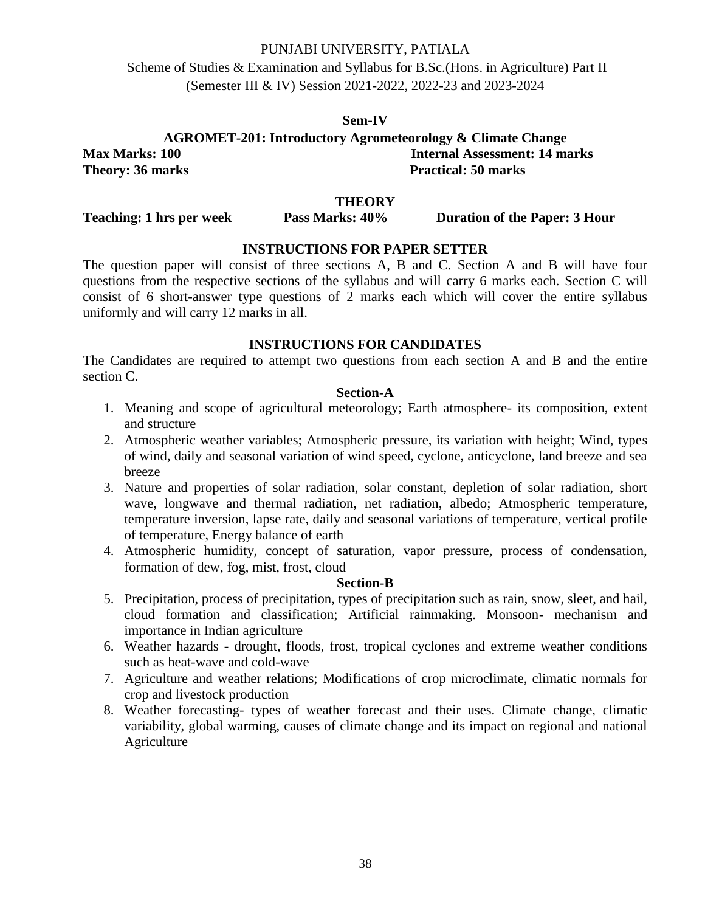Scheme of Studies & Examination and Syllabus for B.Sc.(Hons. in Agriculture) Part II (Semester III & IV) Session 2021-2022, 2022-23 and 2023-2024

#### **Sem-IV**

**AGROMET-201: Introductory Agrometeorology & Climate Change Max Marks: 100 Internal Assessment: 14 marks Theory: 36 marks Practical: 50 marks** 

**THEORY**

**Teaching: 1 hrs per week Pass Marks: 40% Duration of the Paper: 3 Hour** 

# **INSTRUCTIONS FOR PAPER SETTER**

The question paper will consist of three sections A, B and C. Section A and B will have four questions from the respective sections of the syllabus and will carry 6 marks each. Section C will consist of 6 short-answer type questions of 2 marks each which will cover the entire syllabus uniformly and will carry 12 marks in all.

### **INSTRUCTIONS FOR CANDIDATES**

The Candidates are required to attempt two questions from each section A and B and the entire section C.

# **Section-A**

- 1. Meaning and scope of agricultural meteorology; Earth atmosphere- its composition, extent and structure
- 2. Atmospheric weather variables; Atmospheric pressure, its variation with height; Wind, types of wind, daily and seasonal variation of wind speed, cyclone, anticyclone, land breeze and sea breeze
- 3. Nature and properties of solar radiation, solar constant, depletion of solar radiation, short wave, longwave and thermal radiation, net radiation, albedo; Atmospheric temperature, temperature inversion, lapse rate, daily and seasonal variations of temperature, vertical profile of temperature, Energy balance of earth
- 4. Atmospheric humidity, concept of saturation, vapor pressure, process of condensation, formation of dew, fog, mist, frost, cloud

#### **Section-B**

- 5. Precipitation, process of precipitation, types of precipitation such as rain, snow, sleet, and hail, cloud formation and classification; Artificial rainmaking. Monsoon- mechanism and importance in Indian agriculture
- 6. Weather hazards drought, floods, frost, tropical cyclones and extreme weather conditions such as heat-wave and cold-wave
- 7. Agriculture and weather relations; Modifications of crop microclimate, climatic normals for crop and livestock production
- 8. Weather forecasting- types of weather forecast and their uses. Climate change, climatic variability, global warming, causes of climate change and its impact on regional and national Agriculture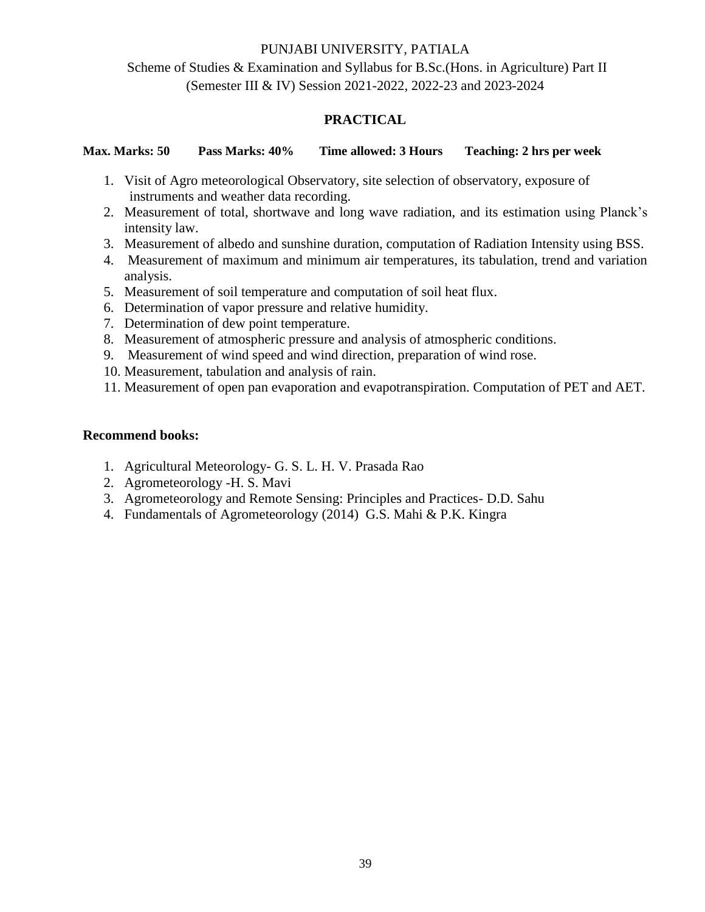Scheme of Studies & Examination and Syllabus for B.Sc.(Hons. in Agriculture) Part II (Semester III & IV) Session 2021-2022, 2022-23 and 2023-2024

# **PRACTICAL**

**Max. Marks: 50 Pass Marks: 40% Time allowed: 3 Hours Teaching: 2 hrs per week**

- 1. Visit of Agro meteorological Observatory, site selection of observatory, exposure of instruments and weather data recording.
- 2. Measurement of total, shortwave and long wave radiation, and its estimation using Planck's intensity law.
- 3. Measurement of albedo and sunshine duration, computation of Radiation Intensity using BSS.
- 4. Measurement of maximum and minimum air temperatures, its tabulation, trend and variation analysis.
- 5. Measurement of soil temperature and computation of soil heat flux.
- 6. Determination of vapor pressure and relative humidity.
- 7. Determination of dew point temperature.
- 8. Measurement of atmospheric pressure and analysis of atmospheric conditions.
- 9. Measurement of wind speed and wind direction, preparation of wind rose.
- 10. Measurement, tabulation and analysis of rain.
- 11. Measurement of open pan evaporation and evapotranspiration. Computation of PET and AET.

# **Recommend books:**

- 1. Agricultural Meteorology- G. S. L. H. V. Prasada Rao
- 2. Agrometeorology -H. S. Mavi
- 3. Agrometeorology and Remote Sensing: Principles and Practices- D.D. Sahu
- 4. Fundamentals of Agrometeorology (2014) G.S. Mahi & P.K. Kingra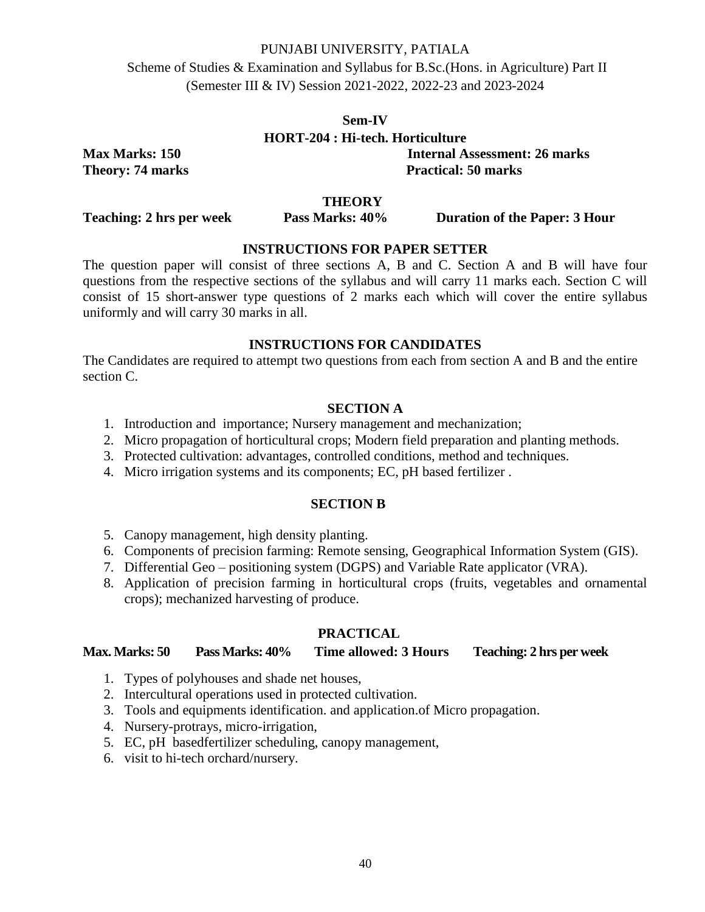Scheme of Studies & Examination and Syllabus for B.Sc.(Hons. in Agriculture) Part II (Semester III & IV) Session 2021-2022, 2022-23 and 2023-2024

# **Sem-IV HORT-204 : Hi-tech. Horticulture**

**Max Marks: 150 Internal Assessment: 26 marks Theory: 74 marks** Practical: 50 marks

# **THEORY**

**Teaching: 2 hrs per week Pass Marks: 40% Duration of the Paper: 3 Hour** 

# **INSTRUCTIONS FOR PAPER SETTER**

The question paper will consist of three sections A, B and C. Section A and B will have four questions from the respective sections of the syllabus and will carry 11 marks each. Section C will consist of 15 short-answer type questions of 2 marks each which will cover the entire syllabus uniformly and will carry 30 marks in all.

# **INSTRUCTIONS FOR CANDIDATES**

The Candidates are required to attempt two questions from each from section A and B and the entire section C.

# **SECTION A**

- 1. Introduction and importance; Nursery management and mechanization;
- 2. Micro propagation of horticultural crops; Modern field preparation and planting methods.
- 3. Protected cultivation: advantages, controlled conditions, method and techniques.
- 4. Micro irrigation systems and its components; EC, pH based fertilizer .

# **SECTION B**

- 5. Canopy management, high density planting.
- 6. Components of precision farming: Remote sensing, Geographical Information System (GIS).
- 7. Differential Geo positioning system (DGPS) and Variable Rate applicator (VRA).
- 8. Application of precision farming in horticultural crops (fruits, vegetables and ornamental crops); mechanized harvesting of produce.

# **PRACTICAL**

# **Max. Marks: 50 Pass Marks: 40% Time allowed: 3 Hours Teaching: 2 hrs per week**

- 1. Types of polyhouses and shade net houses,
- 2. Intercultural operations used in protected cultivation.
- 3. Tools and equipments identification. and application.of Micro propagation.
- 4. Nursery-protrays, micro-irrigation,
- 5. EC, pH basedfertilizer scheduling, canopy management,
- 6. visit to hi-tech orchard/nursery.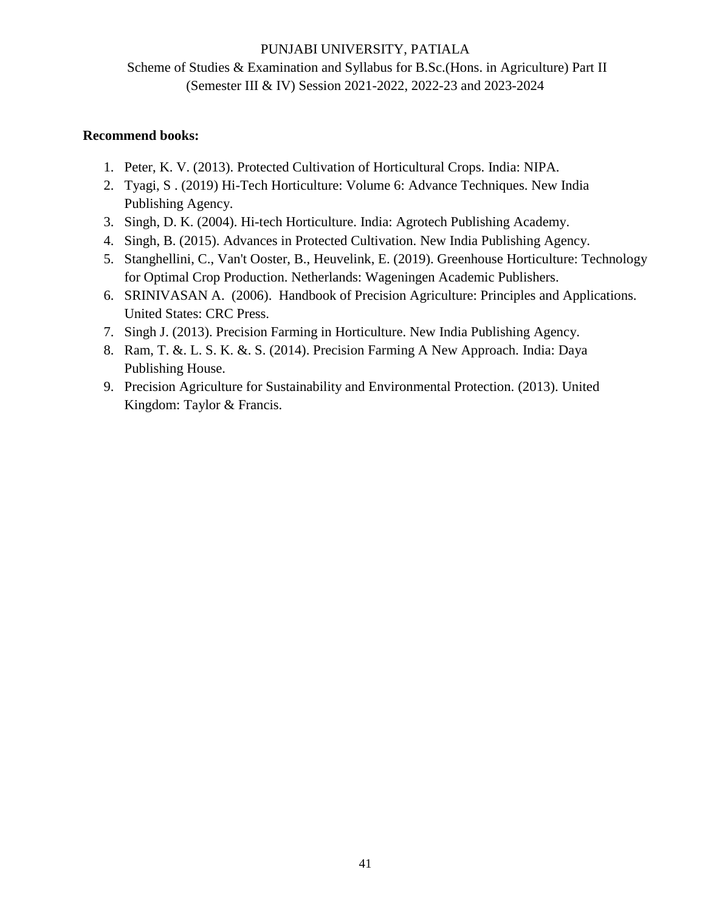Scheme of Studies & Examination and Syllabus for B.Sc.(Hons. in Agriculture) Part II (Semester III & IV) Session 2021-2022, 2022-23 and 2023-2024

# **Recommend books:**

- 1. Peter, K. V. (2013). Protected Cultivation of Horticultural Crops. India: NIPA.
- 2. Tyagi, S . (2019) Hi-Tech Horticulture: Volume 6: Advance Techniques. New India Publishing Agency.
- 3. Singh, D. K. (2004). Hi-tech Horticulture. India: Agrotech Publishing Academy.
- 4. Singh, B. (2015). Advances in Protected Cultivation. New India Publishing Agency.
- 5. Stanghellini, C., Van't Ooster, B., Heuvelink, E. (2019). Greenhouse Horticulture: Technology for Optimal Crop Production. Netherlands: Wageningen Academic Publishers.
- 6. SRINIVASAN A. (2006). Handbook of Precision Agriculture: Principles and Applications. United States: CRC Press.
- 7. Singh J. (2013). Precision Farming in Horticulture. New India Publishing Agency.
- 8. Ram, T. &. L. S. K. &. S. (2014). Precision Farming A New Approach. India: Daya Publishing House.
- 9. Precision Agriculture for Sustainability and Environmental Protection. (2013). United Kingdom: Taylor & Francis.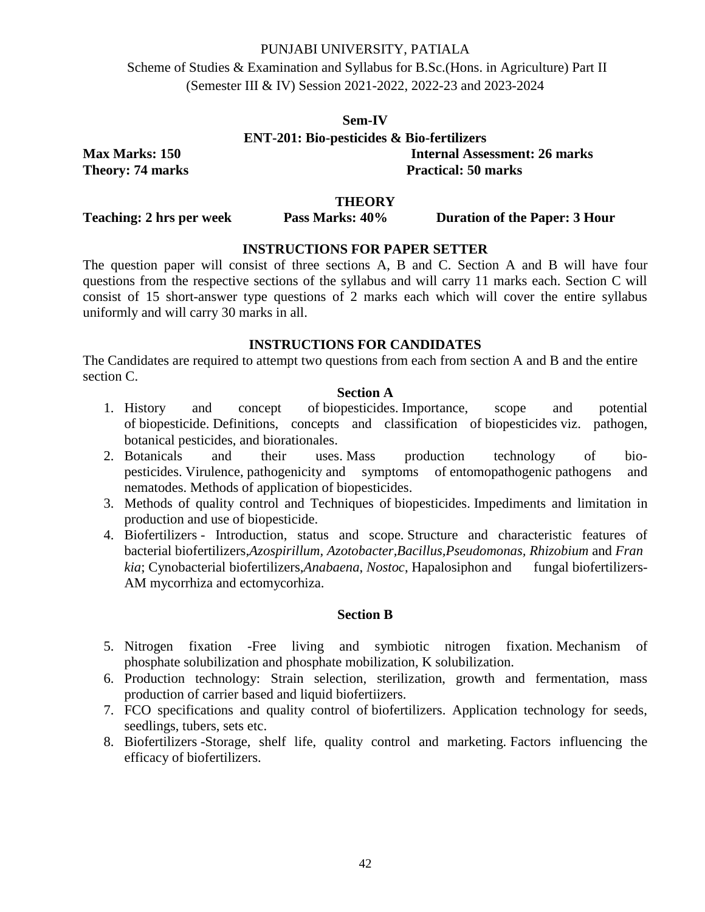Scheme of Studies & Examination and Syllabus for B.Sc.(Hons. in Agriculture) Part II (Semester III & IV) Session 2021-2022, 2022-23 and 2023-2024

# **Sem-IV ENT-201: Bio-pesticides & Bio-fertilizers Max Marks: 150 Internal Assessment: 26 marks**

**Theory: 74 marks** Practical: 50 marks

# **THEORY**

**Teaching: 2 hrs per week Pass Marks: 40% Duration of the Paper: 3 Hour** 

# **INSTRUCTIONS FOR PAPER SETTER**

The question paper will consist of three sections A, B and C. Section A and B will have four questions from the respective sections of the syllabus and will carry 11 marks each. Section C will consist of 15 short-answer type questions of 2 marks each which will cover the entire syllabus uniformly and will carry 30 marks in all.

# **INSTRUCTIONS FOR CANDIDATES**

The Candidates are required to attempt two questions from each from section A and B and the entire section C.

# **Section A**

- 1. History and concept of biopesticides. Importance, scope and potential of biopesticide. Definitions, concepts and classification of biopesticides viz. pathogen, botanical pesticides, and biorationales.
- 2. Botanicals and their uses. Mass production technology of biopesticides. Virulence, pathogenicity and symptoms of entomopathogenic pathogens and nematodes. Methods of application of biopesticides.
- 3. Methods of quality control and Techniques of biopesticides. Impediments and limitation in production and use of biopesticide.
- 4. Biofertilizers Introduction, status and scope. Structure and characteristic features of bacterial biofertilizers,*Azospirillum, Azotobacter,Bacillus,Pseudomonas, Rhizobium* and *Fran kia*; Cynobacterial biofertilizers,*Anabaena*, *Nostoc*, Hapalosiphon and fungal biofertilizers-AM mycorrhiza and ectomycorhiza.

### **Section B**

- 5. Nitrogen fixation -Free living and symbiotic nitrogen fixation. Mechanism of phosphate solubilization and phosphate mobilization, K solubilization.
- 6. Production technology: Strain selection, sterilization, growth and fermentation, mass production of carrier based and liquid biofertiizers.
- 7. FCO specifications and quality control of biofertilizers. Application technology for seeds, seedlings, tubers, sets etc.
- 8. Biofertilizers -Storage, shelf life, quality control and marketing. Factors influencing the efficacy of biofertilizers.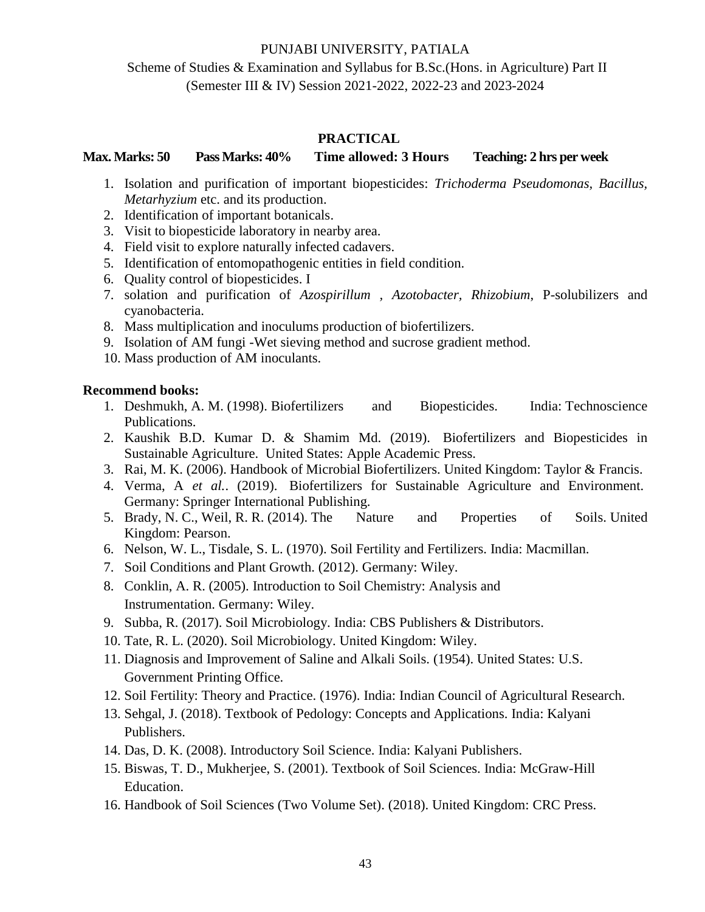# Scheme of Studies & Examination and Syllabus for B.Sc.(Hons. in Agriculture) Part II (Semester III & IV) Session 2021-2022, 2022-23 and 2023-2024

# **PRACTICAL**

**Max. Marks: 50 Pass Marks: 40% Time allowed: 3 Hours Teaching: 2 hrs per week**

- 1. Isolation and purification of important biopesticides: *Trichoderma Pseudomonas, Bacillus, Metarhyzium* etc. and its production.
- 2. Identification of important botanicals.
- 3. Visit to biopesticide laboratory in nearby area.
- 4. Field visit to explore naturally infected cadavers.
- 5. Identification of entomopathogenic entities in field condition.
- 6. Quality control of biopesticides. I
- 7. solation and purification of *Azospirillum , Azotobacter, Rhizobium*, P-solubilizers and cyanobacteria.
- 8. Mass multiplication and inoculums production of biofertilizers.
- 9. Isolation of AM fungi -Wet sieving method and sucrose gradient method.
- 10. Mass production of AM inoculants.

# **Recommend books:**

- 1. Deshmukh, A. M. (1998). Biofertilizers and Biopesticides. India: Technoscience Publications.
- 2. Kaushik B.D. Kumar D. & Shamim Md. (2019). Biofertilizers and Biopesticides in Sustainable Agriculture. United States: Apple Academic Press.
- 3. Rai, M. K. (2006). Handbook of Microbial Biofertilizers. United Kingdom: Taylor & Francis.
- 4. Verma, A *et al.*. (2019). Biofertilizers for Sustainable Agriculture and Environment. Germany: Springer International Publishing.
- 5. Brady, N. C., Weil, R. R. (2014). The Nature and Properties of Soils. United Kingdom: Pearson.
- 6. Nelson, W. L., Tisdale, S. L. (1970). Soil Fertility and Fertilizers. India: Macmillan.
- 7. Soil Conditions and Plant Growth. (2012). Germany: Wiley.
- 8. Conklin, A. R. (2005). Introduction to Soil Chemistry: Analysis and Instrumentation. Germany: Wiley.
- 9. Subba, R. (2017). Soil Microbiology. India: CBS Publishers & Distributors.
- 10. Tate, R. L. (2020). Soil Microbiology. United Kingdom: Wiley.
- 11. Diagnosis and Improvement of Saline and Alkali Soils. (1954). United States: U.S. Government Printing Office.
- 12. Soil Fertility: Theory and Practice. (1976). India: Indian Council of Agricultural Research.
- 13. Sehgal, J. (2018). Textbook of Pedology: Concepts and Applications. India: Kalyani Publishers.
- 14. Das, D. K. (2008). Introductory Soil Science. India: Kalyani Publishers.
- 15. Biswas, T. D., Mukherjee, S. (2001). Textbook of Soil Sciences. India: McGraw-Hill Education.
- 16. Handbook of Soil Sciences (Two Volume Set). (2018). United Kingdom: CRC Press.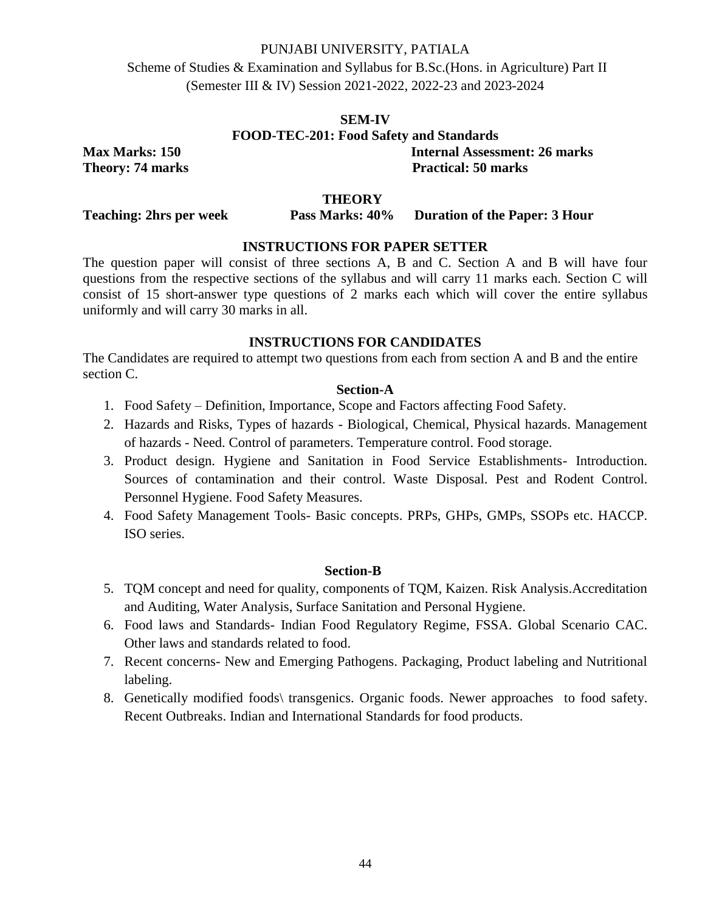Scheme of Studies & Examination and Syllabus for B.Sc.(Hons. in Agriculture) Part II (Semester III & IV) Session 2021-2022, 2022-23 and 2023-2024

# **SEM-IV FOOD-TEC-201: Food Safety and Standards Max Marks: 150 Internal Assessment: 26 marks Theory: 74 marks** Practical: 50 marks

**THEORY**

# **Teaching: 2hrs per week Pass Marks: 40% Duration of the Paper: 3 Hour**

# **INSTRUCTIONS FOR PAPER SETTER**

The question paper will consist of three sections A, B and C. Section A and B will have four questions from the respective sections of the syllabus and will carry 11 marks each. Section C will consist of 15 short-answer type questions of 2 marks each which will cover the entire syllabus uniformly and will carry 30 marks in all.

### **INSTRUCTIONS FOR CANDIDATES**

The Candidates are required to attempt two questions from each from section A and B and the entire section C.

#### **Section-A**

- 1. Food Safety Definition, Importance, Scope and Factors affecting Food Safety.
- 2. Hazards and Risks, Types of hazards Biological, Chemical, Physical hazards. Management of hazards - Need. Control of parameters. Temperature control. Food storage.
- 3. Product design. Hygiene and Sanitation in Food Service Establishments- Introduction. Sources of contamination and their control. Waste Disposal. Pest and Rodent Control. Personnel Hygiene. Food Safety Measures.
- 4. Food Safety Management Tools- Basic concepts. PRPs, GHPs, GMPs, SSOPs etc. HACCP. ISO series.

#### **Section-B**

- 5. TQM concept and need for quality, components of TQM, Kaizen. Risk Analysis.Accreditation and Auditing, Water Analysis, Surface Sanitation and Personal Hygiene.
- 6. Food laws and Standards- Indian Food Regulatory Regime, FSSA. Global Scenario CAC. Other laws and standards related to food.
- 7. Recent concerns- New and Emerging Pathogens. Packaging, Product labeling and Nutritional labeling.
- 8. Genetically modified foods\ transgenics. Organic foods. Newer approaches to food safety. Recent Outbreaks. Indian and International Standards for food products.